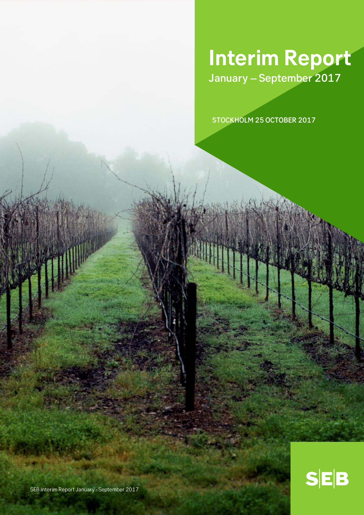# **Interim Report** January – September 2017

STOCKHOLM 25 OCTOBER 2017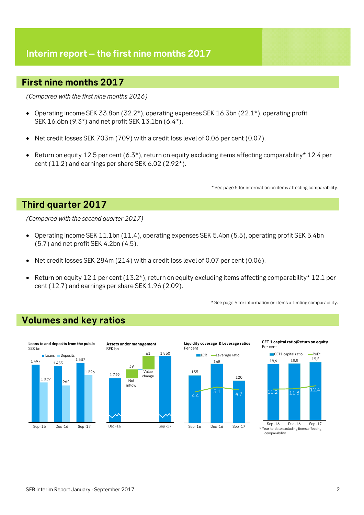## **Interim report – the first nine months 2017**

## **First nine months 2017**

*(Compared with the first nine months 2016)* 

- Operating income SEK 33.8bn (32.2\*), operating expenses SEK 16.3bn (22.1\*), operating profit SEK 16.6bn (9.3\*) and net profit SEK 13.1bn (6.4\*).
- Net credit losses SEK 703m (709) with a credit loss level of 0.06 per cent (0.07).
- Return on equity 12.5 per cent (6.3\*), return on equity excluding items affecting comparability\* 12.4 per cent (11.2) and earnings per share SEK 6.02 (2.92\*).

\* See page 5 for information on items affecting comparability.

## **Third quarter 2017**

*(Compared with the second quarter 2017)* 

- Operating income SEK 11.1bn (11.4), operating expenses SEK 5.4bn (5.5), operating profit SEK 5.4bn (5.7) and net profit SEK 4.2bn (4.5).
- Net credit losses SEK 284m (214) with a credit loss level of 0.07 per cent (0.06).
- Return on equity 12.1 per cent (13.2\*), return on equity excluding items affecting comparability\* 12.1 per cent (12.7) and earnings per share SEK 1.96 (2.09).

\* See page 5 for information on items affecting comparability.

## **Volumes and key ratios**





**Liquidity coverage & Leverage ratios** Per cent

135

 $4.4$ 





18,6 18,8 19,2  $11.2$   $11.3$   $12.4$ 



SEB Interim Report January - September 2017 2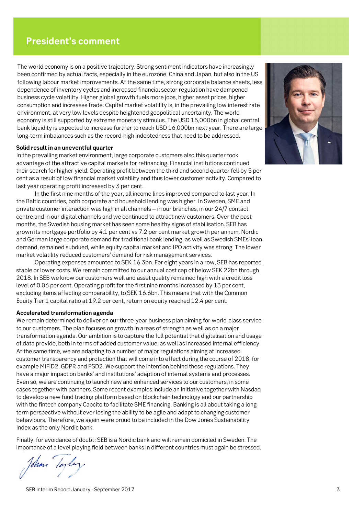## **President's comment**

The world economy is on a positive trajectory. Strong sentiment indicators have increasingly been confirmed by actual facts, especially in the eurozone, China and Japan, but also in the US following labour market improvements. At the same time, strong corporate balance sheets, less dependence of inventory cycles and increased financial sector regulation have dampened business cycle volatility. Higher global growth fuels more jobs, higher asset prices, higher consumption and increases trade. Capital market volatility is, in the prevailing low interest rate environment, at very low levels despite heightened geopolitical uncertainty. The world economy is still supported by extreme monetary stimulus. The USD 15,000bn in global central bank liquidity is expected to increase further to reach USD 16,000bn next year. There are large long-term imbalances such as the record-high indebtedness that need to be addressed.

## **Solid result in an uneventful quarter**

In the prevailing market environment, large corporate customers also this quarter took advantage of the attractive capital markets for refinancing. Financial institutions continued their search for higher yield. Operating profit between the third and second quarter fell by 5 per cent as a result of low financial market volatility and thus lower customer activity. Compared to last year operating profit increased by 3 per cent.

In the first nine months of the year, all income lines improved compared to last year. In the Baltic countries, both corporate and household lending was higher. In Sweden, SME and private customer interaction was high in all channels – in our branches, in our 24/7 contact centre and in our digital channels and we continued to attract new customers. Over the past months, the Swedish housing market has seen some healthy signs of stabilisation. SEB has grown its mortgage portfolio by 4.1 per cent vs 7.2 per cent market growth per annum. Nordic and German large corporate demand for traditional bank lending, as well as Swedish SMEs' loan demand, remained subdued, while equity capital market and IPO activity was strong. The lower market volatility reduced customers' demand for risk management services.

Operating expenses amounted to SEK 16.3bn. For eight years in a row, SEB has reported stable or lower costs. We remain committed to our annual cost cap of below SEK 22bn through 2018. In SEB we know our customers well and asset quality remained high with a credit loss level of 0.06 per cent. Operating profit for the first nine months increased by 13 per cent, excluding items affecting comparability, to SEK 16.6bn. This means that with the Common Equity Tier 1 capital ratio at 19.2 per cent, return on equity reached 12.4 per cent.

## **Accelerated transformation agenda**

We remain determined to deliver on our three-year business plan aiming for world-class service to our customers. The plan focuses on growth in areas of strength as well as on a major transformation agenda. Our ambition is to capture the full potential that digitalisation and usage of data provide, both in terms of added customer value, as well as increased internal efficiency. At the same time, we are adapting to a number of major regulations aiming at increased customer transparency and protection that will come into effect during the course of 2018, for example MiFiD2, GDPR and PSD2. We support the intention behind these regulations. They have a major impact on banks' and institutions' adaption of internal systems and processes. Even so, we are continuing to launch new and enhanced services to our customers, in some cases together with partners. Some recent examples include an initiative together with Nasdaq to develop a new fund trading platform based on blockchain technology and our partnership with the fintech company Capcito to facilitate SME financing. Banking is all about taking a longterm perspective without ever losing the ability to be agile and adapt to changing customer behaviours. Therefore, we again were proud to be included in the Dow Jones Sustainability Index as the only Nordic bank.

Finally, for avoidance of doubt; SEB is a Nordic bank and will remain domiciled in Sweden. The importance of a level playing field between banks in different countries must again be stressed.

John

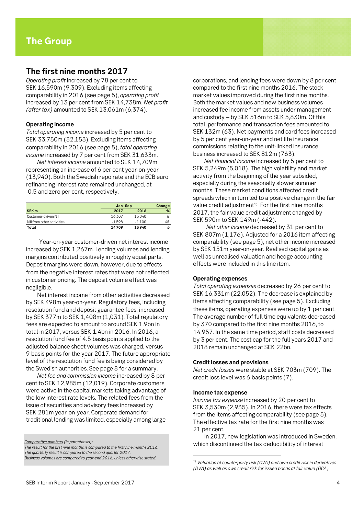## **The first nine months 2017**

*Operating profit* increased by 78 per cent to SEK 16,590m (9,309). Excluding items affecting comparability in 2016 (see page 5), *operating profit* increased by 13 per cent from SEK 14,738m. *Net profit (after tax)* amounted to SEK 13,061m (6,374).

## **Operating income**

*Total operating income* increased by 5 per cent to SEK 33,750m (32,153). Excluding items affecting comparability in 2016 (see page 5), *total operating income* increased by 7 per cent from SEK 31,633m.

*Net interest income* amounted to SEK 14,709m representing an increase of 6 per cent year-on-year (13,940). Both the Swedish repo rate and the ECB euro refinancing interest rate remained unchanged, at -0.5 and zero per cent, respectively.

|                           |          | Jan-Sep |    |  |
|---------------------------|----------|---------|----|--|
| SEK <sub>m</sub>          | 2017     | 2016    | %  |  |
| Customer-driven NII       | 16307    | 15040   |    |  |
| NII from other activities | $-1.598$ | $-1100$ | 45 |  |
| Total                     | 14709    | 13940   |    |  |

 Year-on-year customer-driven net interest income increased by SEK 1,267m. Lending volumes and lending margins contributed positively in roughly equal parts. Deposit margins were down, however, due to effects from the negative interest rates that were not reflected in customer pricing. The deposit volume effect was negligible.

Net interest income from other activities decreased by SEK 498m year-on-year. Regulatory fees, including resolution fund and deposit guarantee fees, increased by SEK 377m to SEK 1,408m (1,031). Total regulatory fees are expected to amount to around SEK 1.9bn in total in 2017, versus SEK 1.4bn in 2016. In 2016, a resolution fund fee of 4.5 basis points applied to the adjusted balance sheet volumes was charged, versus 9 basis points for the year 2017. The future appropriate level of the resolution fund fee is being considered by the Swedish authorities. See page 8 for a summary.

*Net fee and commission income* increased by 8 per cent to SEK 12,985m (12,019). Corporate customers were active in the capital markets taking advantage of the low interest rate levels. The related fees from the issue of securities and advisory fees increased by SEK 281m year-on-year. Corporate demand for traditional lending was limited, especially among large

*Business volumes are compared to year-end 2016, unless otherwise stated.* 

corporations, and lending fees were down by 8 per cent compared to the first nine months 2016. The stock market values improved during the first nine months. Both the market values and new business volumes increased fee income from assets under management and custody – by SEK 516m to SEK 5,830m. Of this total, performance and transaction fees amounted to SEK 132m (63). Net payments and card fees increased by 5 per cent year-on-year and net life insurance commissions relating to the unit-linked insurance business increased to SEK 812m (763).

*Net financial income* increased by 5 per cent to SEK 5,249m (5,018). The high volatility and market activity from the beginning of the year subsided, especially during the seasonally slower summer months. These market conditions affected credit spreads which in turn led to a positive change in the fair value credit adjustment<sup>1).</sup> For the first nine months 2017, the fair value credit adjustment changed by SEK 590m to SEK 149m (-442).

*Net other income* decreased by 31 per cent to SEK 807m (1,176). Adjusted for a 2016 item affecting comparability (see page 5), net other income increased by SEK 151m year-on-year. Realised capital gains as well as unrealised valuation and hedge accounting effects were included in this line item.

## **Operating expenses**

*Total operating expenses* decreased by 26 per cent to SEK 16,331m (22,052). The decrease is explained by items affecting comparability (see page 5). Excluding these items, operating expenses were up by 1 per cent. The average number of full time equivalents decreased by 370 compared to the first nine months 2016, to 14,957. In the same time period, staff costs decreased by 3 per cent. The cost cap for the full years 2017 and 2018 remain unchanged at SEK 22bn.

#### **Credit losses and provisions**

*Net credit losses* were stable at SEK 703m (709). The credit loss level was 6 basis points (7).

#### **Income tax expense**

 $\overline{a}$ 

*Income tax expense* increased by 20 per cent to SEK 3,530m (2,935). In 2016, there were tax effects from the items affecting comparability (see page 5). The effective tax rate for the first nine months was 21 per cent.

In 2017, new legislation was introduced in Sweden, which discontinued the tax deductibility of interest

*Comparative numbers (in parenthesis):* 

*The result for the first nine months is compared to the first nine months 2016. The quarterly result is compared to the second quarter 2017.* 

*<sup>1)</sup> Valuation of counterparty risk (CVA) and own credit risk in derivatives (DVA) as well as own credit risk for issued bonds at fair value (OCA).*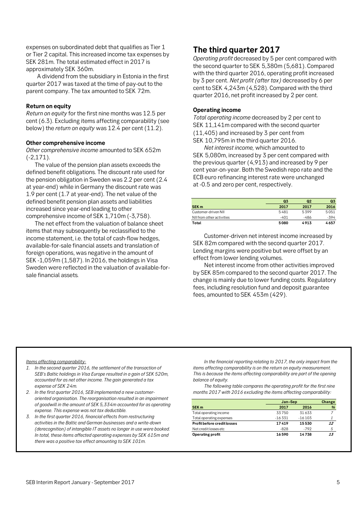expenses on subordinated debt that qualifies as Tier 1 or Tier 2 capital. This increased income tax expenses by SEK 281m. The total estimated effect in 2017 is approximately SEK 360m.

A dividend from the subsidiary in Estonia in the first quarter 2017 was taxed at the time of pay-out to the parent company. The tax amounted to SEK 72m.

## **Return on equity**

*Return on equity* for the first nine months was 12.5 per cent (6.3). Excluding items affecting comparability (see below) the *return on equity* was 12.4 per cent (11.2).

#### **Other comprehensive income**

*Other comprehensive income* amounted to SEK 652m (-2,171).

The value of the pension plan assets exceeds the defined benefit obligations. The discount rate used for the pension obligation in Sweden was 2.2 per cent (2.4 at year-end) while in Germany the discount rate was 1.9 per cent (1.7 at year-end). The net value of the defined benefit pension plan assets and liabilities increased since year-end leading to other comprehensive income of SEK 1,710m (-3,758).

The net effect from the valuation of balance sheet items that may subsequently be reclassified to the income statement, i.e. the total of cash-flow hedges, available-for-sale financial assets and translation of foreign operations, was negative in the amount of SEK -1,059m (1,587). In 2016, the holdings in Visa Sweden were reflected in the valuation of available-forsale financial assets*.* 

## **The third quarter 2017**

*Operating profit* decreased by 5 per cent compared with the second quarter to SEK 5,380m (5,681). Compared with the third quarter 2016, operating profit increased by 3 per cent. *Net profit (after tax)* decreased by 6 per cent to SEK 4,243m (4,528). Compared with the third quarter 2016, net profit increased by 2 per cent.

## **Operating income**

*Total operating income* decreased by 2 per cent to SEK 11.141m compared with the second quarter (11,405) and increased by 3 per cent from SEK 10,795m in the third quarter 2016.

*Net interest income,* which amounted to SEK 5,080m, increased by 3 per cent compared with the previous quarter (4,913) and increased by 9 per cent year-on-year. Both the Swedish repo rate and the ECB euro refinancing interest rate were unchanged at -0.5 and zero per cent, respectively.

|                           | Q <sub>3</sub> | Q <sub>2</sub> | Q3   |
|---------------------------|----------------|----------------|------|
| <b>SEK m</b>              | 2017           | 2017           | 2016 |
| Customer-driven NII       | 5481           | 5399           | 5051 |
| NII from other activities | $-401$         | -486           | -394 |
| Total                     | 5080           | 4913           | 4657 |

Customer-driven net interest income increased by SEK 82m compared with the second quarter 2017. Lending margins were positive but were offset by an effect from lower lending volumes.

Net interest income from other activities improved by SEK 85m compared to the second quarter 2017. The change is mainly due to lower funding costs. Regulatory fees, including resolution fund and deposit guarantee fees, amounted to SEK 453m (429).

*Items affecting comparability:*

- *1. In the second quarter 2016, the settlement of the transaction of SEB's Baltic holdings in Visa Europe resulted in a gain of SEK 520m, accounted for as net other income. The gain generated a tax expense of SEK 24m.*
- *2. In the first quarter 2016, SEB implemented a new customeroriented organisation. The reorganisation resulted in an impairment of goodwill in the amount of SEK 5,334m accounted for as operating expense. This expense was not tax deductible.*
- *3. In the first quarter 2016, financial effects from restructuring activities in the Baltic and German businesses and a write-down (derecognition) of intangible IT assets no longer in use were booked. In total, these items affected operating expenses by SEK 615m and there was a positive tax effect amounting to SEK 101m.*

*In the financial reporting relating to 2017, the only impact from the items affecting comparability is on the return on equity measurement. This is because the items affecting comparability are part of the opening balance of equity.* 

*The following table compares the operating profit for the first nine months 2017 with 2016 excluding the items affecting comparability:* 

|                                    |          | Jan-Sep  |    |  |
|------------------------------------|----------|----------|----|--|
| SEK <sub>m</sub>                   | 2017     | 2016     | %  |  |
| Total operating income             | 33750    | 31633    | 7  |  |
| Total operating expenses           | $-16331$ | $-16103$ |    |  |
| <b>Profit before credit losses</b> | 17419    | 15530    | 12 |  |
| Net credit losses etc              | $-828$   | $-792$   | 5  |  |
| Operating profit                   | 16590    | 14738    | 13 |  |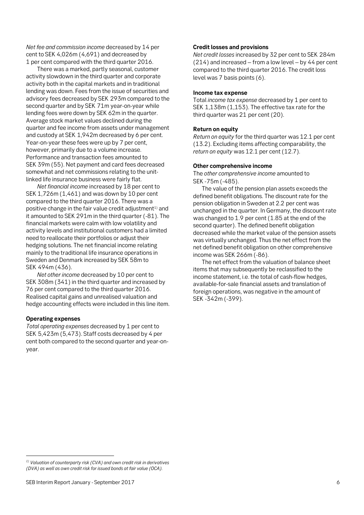*Net fee and commission income* decreased by 14 per cent to SEK 4,026m (4,691) and decreased by 1 per cent compared with the third quarter 2016.

There was a marked, partly seasonal, customer activity slowdown in the third quarter and corporate activity both in the capital markets and in traditional lending was down. Fees from the issue of securities and advisory fees decreased by SEK 293m compared to the second quarter and by SEK 71m year-on-year while lending fees were down by SEK 62m in the quarter. Average stock market values declined during the quarter and fee income from assets under management and custody at SEK 1,942m decreased by 6 per cent. Year-on-year these fees were up by 7 per cent, however, primarily due to a volume increase. Performance and transaction fees amounted to SEK 39m (55). Net payment and card fees decreased somewhat and net commissions relating to the unitlinked life insurance business were fairly flat.

*Net financial income* increased by 18 per cent to SEK 1,726m (1,461) and was down by 10 per cent compared to the third quarter 2016. There was a positive change in the fair value credit adjustment<sup>1)</sup> and it amounted to SEK 291m in the third quarter (-81). The financial markets were calm with low volatility and activity levels and institutional customers had a limited need to reallocate their portfolios or adjust their hedging solutions. The net financial income relating mainly to the traditional life insurance operations in Sweden and Denmark increased by SEK 58m to SEK 494m (436).

*Net other income* decreased by 10 per cent to SEK 308m (341) in the third quarter and increased by 76 per cent compared to the third quarter 2016. Realised capital gains and unrealised valuation and hedge accounting effects were included in this line item.

## **Operating expenses**

 $\overline{\phantom{a}}$ 

*Total operating expenses* decreased by 1 per cent to SEK 5,423m (5,473). Staff costs decreased by 4 per cent both compared to the second quarter and year-onyear.

## **Credit losses and provisions**

*Net credit losses* increased by 32 per cent to SEK 284m (214) and increased – from a low level – by 44 per cent compared to the third quarter 2016. The credit loss level was 7 basis points (6).

#### **Income tax expense**

Total *income tax expense* decreased by 1 per cent to SEK 1,138m (1,153). The effective tax rate for the third quarter was 21 per cent (20).

## **Return on equity**

*Return on equity* for the third quarter was 12.1 per cent (13.2). Excluding items affecting comparability, the *return on equity* was 12.1 per cent (12.7).

### **Other comprehensive income**

The *other comprehensive income* amounted to SEK -75m (-485).

The value of the pension plan assets exceeds the defined benefit obligations. The discount rate for the pension obligation in Sweden at 2.2 per cent was unchanged in the quarter. In Germany, the discount rate was changed to 1.9 per cent (1.85 at the end of the second quarter). The defined benefit obligation decreased while the market value of the pension assets was virtually unchanged. Thus the net effect from the net defined benefit obligation on other comprehensive income was SEK 266m (-86).

The net effect from the valuation of balance sheet items that may subsequently be reclassified to the income statement, i.e. the total of cash-flow hedges, available-for-sale financial assets and translation of foreign operations, was negative in the amount of SEK -342m (-399).

*<sup>1)</sup> Valuation of counterparty risk (CVA) and own credit risk in derivatives (DVA) as well as own credit risk for issued bonds at fair value (OCA).*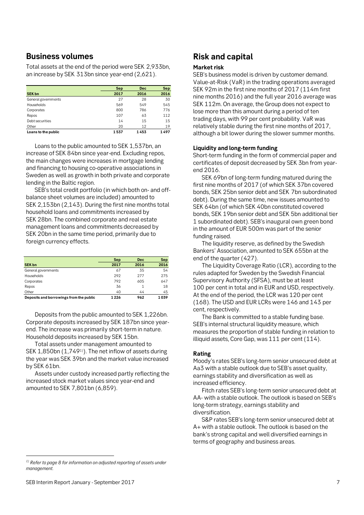## **Business volumes**

Total assets at the end of the period were SEK 2,933bn, an increase by SEK 313bn since year-end (2,621).

|                     | Sep  | <b>Dec</b> | Sep  |
|---------------------|------|------------|------|
| <b>SEK bn</b>       | 2017 | 2016       | 2016 |
| General governments | 27   | 28         | 30   |
| Households          | 569  | 549        | 545  |
| Corporates          | 800  | 786        | 776  |
| Repos               | 107  | 63         | 112  |
| Debt securities     | 14   | 15         | 15   |
| Other               | 20   | 12         | 19   |
| Loans to the public | 1537 | 1453       | 1497 |

Loans to the public amounted to SEK 1,537bn, an increase of SEK 84bn since year-end. Excluding repos, the main changes were increases in mortgage lending and financing to housing co-operative associations in Sweden as well as growth in both private and corporate lending in the Baltic region.

SEB's total credit portfolio (in which both on- and offbalance sheet volumes are included) amounted to SEK 2,153bn (2,143). During the first nine months total household loans and commitments increased by SEK 28bn. The combined corporate and real estate management loans and commitments decreased by SEK 20bn in the same time period, primarily due to foreign currency effects.

|                                         | Sep  | <b>Dec</b> | <b>Sep</b> |
|-----------------------------------------|------|------------|------------|
| <b>SEK bn</b>                           | 2017 | 2016       | 2016       |
| General governments                     | 67   | 35         | 54         |
| Households                              | 292  | 277        | 275        |
| Corporates                              | 792  | 605        | 647        |
| Repos                                   | 36   |            | 18         |
| Other                                   | 40   | 44         | 45         |
| Deposits and borrowings from the public | 1226 | 962        | 1039       |

Deposits from the public amounted to SEK 1,226bn. Corporate deposits increased by SEK 187bn since yearend. The increase was primarily short-term in nature. Household deposits increased by SEK 15bn.

Total assets under management amounted to SEK 1,850bn (1,749<sup>1)</sup>). The net inflow of assets during the year was SEK 39bn and the market value increased by SEK 61bn.

Assets under custody increased partly reflecting the increased stock market values since year-end and amounted to SEK 7,801bn (6,859).

## **Risk and capital**

## **Market risk**

SEB's business model is driven by customer demand. Value-at-Risk (VaR) in the trading operations averaged SEK 92m in the first nine months of 2017 (114m first nine months 2016) and the full year 2016 average was SEK 112m. On average, the Group does not expect to lose more than this amount during a period of ten trading days, with 99 per cent probability. VaR was relatively stable during the first nine months of 2017, although a bit lower during the slower summer months.

## **Liquidity and long-term funding**

Short-term funding in the form of commercial paper and certificates of deposit decreased by SEK 3bn from yearend 2016.

SEK 69bn of long-term funding matured during the first nine months of 2017 (of which SEK 37bn covered bonds, SEK 25bn senior debt and SEK 7bn subordinated debt). During the same time, new issues amounted to SEK 64bn (of which SEK 40bn constituted covered bonds, SEK 19bn senior debt and SEK 5bn additional tier 1 subordinated debt). SEB's inaugural own green bond in the amount of EUR 500m was part of the senior funding raised.

The liquidity reserve, as defined by the Swedish Bankers' Association, amounted to SEK 655bn at the end of the quarter (427).

The Liquidity Coverage Ratio (LCR), according to the rules adapted for Sweden by the Swedish Financial Supervisory Authority (SFSA), must be at least 100 per cent in total and in EUR and USD, respectively. At the end of the period, the LCR was 120 per cent (168). The USD and EUR LCRs were 146 and 143 per cent, respectively.

The Bank is committed to a stable funding base. SEB's internal structural liquidity measure, which measures the proportion of stable funding in relation to illiquid assets, Core Gap, was 111 per cent (114).

## **Rating**

Moody's rates SEB's long-term senior unsecured debt at Aa3 with a stable outlook due to SEB's asset quality, earnings stability and diversification as well as increased efficiency.

Fitch rates SEB's long-term senior unsecured debt at AA- with a stable outlook. The outlook is based on SEB's long-term strategy, earnings stability and diversification.

S&P rates SEB's long-term senior unsecured debt at A+ with a stable outlook. The outlook is based on the bank's strong capital and well diversified earnings in terms of geography and business areas.

 $\overline{\phantom{a}}$ 

*<sup>1)</sup> Refer to page 8 for information on adjusted reporting of assets under management.*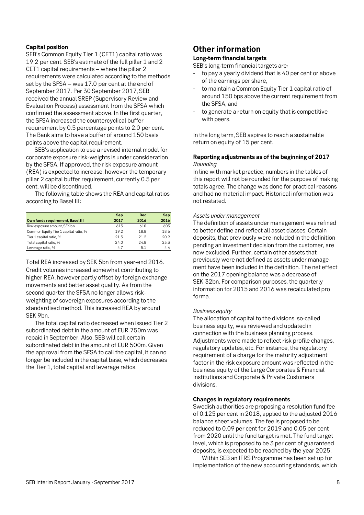## **Capital position**

SEB's Common Equity Tier 1 (CET1) capital ratio was 19.2 per cent. SEB's estimate of the full pillar 1 and 2 CET1 capital requirements – where the pillar 2 requirements were calculated according to the methods set by the SFSA – was 17.0 per cent at the end of September 2017. Per 30 September 2017, SEB received the annual SREP (Supervisory Review and Evaluation Process) assessment from the SFSA which confirmed the assessment above. In the first quarter, the SFSA increased the countercyclical buffer requirement by 0.5 percentage points to 2.0 per cent. The Bank aims to have a buffer of around 150 basis points above the capital requirement.

SEB's application to use a revised internal model for corporate exposure risk-weights is under consideration by the SFSA. If approved, the risk exposure amount (REA) is expected to increase, however the temporary pillar 2 capital buffer requirement, currently 0.5 per cent, will be discontinued.

The following table shows the REA and capital ratios according to Basel III:

|                                       | <b>Sep</b> | <b>Dec</b> | Sep  |
|---------------------------------------|------------|------------|------|
| Own funds requirement, Basel III      | 2017       | 2016       | 2016 |
| Risk exposure amount, SEK bn          | 615        | 610        | 603  |
| Common Equity Tier 1 capital ratio, % | 19.2       | 18.8       | 18.6 |
| Tier 1 capital ratio, %               | 21.5       | 21.2       | 20.9 |
| Total capital ratio, %                | 24.0       | 24.8       | 23.3 |
| Leverage ratio, %                     | 4.7        | 5.1        | 4.4  |

Total REA increased by SEK 5bn from year-end 2016. Credit volumes increased somewhat contributing to higher REA, however partly offset by foreign exchange movements and better asset quality. As from the second quarter the SFSA no longer allows riskweighting of sovereign exposures according to the standardised method. This increased REA by around SEK 9bn.

The total capital ratio decreased when issued Tier 2 subordinated debt in the amount of EUR 750m was repaid in September. Also, SEB will call certain subordinated debt in the amount of EUR 500m. Given the approval from the SFSA to call the capital, it can no longer be included in the capital base, which decreases the Tier 1, total capital and leverage ratios.

## **Other information**

## **Long-term financial targets**

SEB's long-term financial targets are:

- to pay a yearly dividend that is 40 per cent or above of the earnings per share,
- to maintain a Common Equity Tier 1 capital ratio of around 150 bps above the current requirement from the SFSA, and
- to generate a return on equity that is competitive with peers.

In the long term, SEB aspires to reach a sustainable return on equity of 15 per cent.

## **Reporting adjustments as of the beginning of 2017**  *Rounding*

In line with market practice, numbers in the tables of this report will not be rounded for the purpose of making totals agree. The change was done for practical reasons and had no material impact. Historical information was not restated.

## *Assets under management*

The definition of assets under management was refined to better define and reflect all asset classes. Certain deposits, that previously were included in the definition pending an investment decision from the customer, are now excluded. Further, certain other assets that previously were not defined as assets under management have been included in the definition. The net effect on the 2017 opening balance was a decrease of SEK 32bn. For comparison purposes, the quarterly information for 2015 and 2016 was recalculated pro forma.

## *Business equity*

The allocation of capital to the divisions, so-called business equity, was reviewed and updated in connection with the business planning process. Adjustments were made to reflect risk profile changes, regulatory updates, etc. For instance, the regulatory requirement of a charge for the maturity adjustment factor in the risk exposure amount was reflected in the business equity of the Large Corporates & Financial Institutions and Corporate & Private Customers divisions.

### **Changes in regulatory requirements**

Swedish authorities are proposing a resolution fund fee of 0.125 per cent in 2018, applied to the adjusted 2016 balance sheet volumes. The fee is proposed to be reduced to 0.09 per cent for 2019 and 0.05 per cent from 2020 until the fund target is met. The fund target level, which is proposed to be 3 per cent of guaranteed deposits, is expected to be reached by the year 2025.

Within SEB an IFRS Programme has been set up for implementation of the new accounting standards, which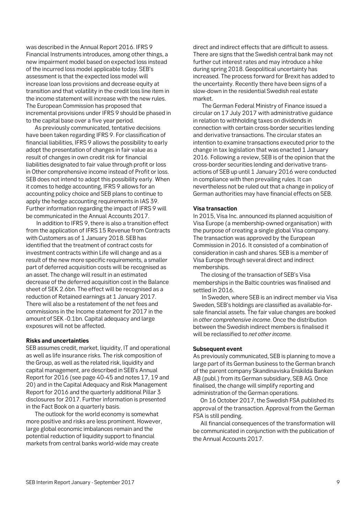was described in the Annual Report 2016. IFRS 9 Financial Instruments introduces, among other things, a new impairment model based on expected loss instead of the incurred loss model applicable today. SEB's assessment is that the expected loss model will increase loan loss provisions and decrease equity at transition and that volatility in the credit loss line item in the income statement will increase with the new rules. The European Commission has proposed that incremental provisions under IFRS 9 should be phased in to the capital base over a five year period.

As previously communicated, tentative decisions have been taken regarding IFRS 9. For classification of financial liabilities, IFRS 9 allows the possibility to early adopt the presentation of changes in fair value as a result of changes in own credit risk for financial liabilities designated to fair value through profit or loss in Other comprehensive income instead of Profit or loss. SEB does not intend to adopt this possibility early. When it comes to hedge accounting, IFRS 9 allows for an accounting policy choice and SEB plans to continue to apply the hedge accounting requirements in IAS 39. Further information regarding the impact of IFRS 9 will be communicated in the Annual Accounts 2017.

In addition to IFRS 9, there is also a transition effect from the application of IFRS 15 Revenue from Contracts with Customers as of 1 January 2018. SEB has identified that the treatment of contract costs for investment contracts within Life will change and as a result of the new more specific requirements, a smaller part of deferred acquisition costs will be recognised as an asset. The change will result in an estimated decrease of the deferred acquisition cost in the Balance sheet of SEK 2.6bn. The effect will be recognised as a reduction of Retained earnings at 1 January 2017. There will also be a restatement of the net fees and commissions in the Income statement for 2017 in the amount of SEK -0.1bn. Capital adequacy and large exposures will not be affected.

### **Risks and uncertainties**

SEB assumes credit, market, liquidity, IT and operational as well as life insurance risks. The risk composition of the Group, as well as the related risk, liquidity and capital management, are described in SEB's Annual Report for 2016 (see page 40-45 and notes 17, 19 and 20) and in the Capital Adequacy and Risk Management Report for 2016 and the quarterly additional Pillar 3 disclosures for 2017. Further information is presented in the Fact Book on a quarterly basis.

The outlook for the world economy is somewhat more positive and risks are less prominent. However, large global economic imbalances remain and the potential reduction of liquidity support to financial markets from central banks world-wide may create

direct and indirect effects that are difficult to assess. There are signs that the Swedish central bank may not further cut interest rates and may introduce a hike during spring 2018. Geopolitical uncertainty has increased. The process forward for Brexit has added to the uncertainty. Recently there have been signs of a slow-down in the residential Swedish real estate market.

The German Federal Ministry of Finance issued a circular on 17 July 2017 with administrative guidance in relation to withholding taxes on dividends in connection with certain cross-border securities lending and derivative transactions. The circular states an intention to examine transactions executed prior to the change in tax legislation that was enacted 1 January 2016. Following a review, SEB is of the opinion that the cross-border securities lending and derivative transactions of SEB up until 1 January 2016 were conducted in compliance with then prevailing rules. It can nevertheless not be ruled out that a change in policy of German authorities may have financial effects on SEB.

## **Visa transaction**

In 2015, Visa Inc. announced its planned acquisition of Visa Europe (a membership-owned organisation) with the purpose of creating a single global Visa company. The transaction was approved by the European Commission in 2016. It consisted of a combination of consideration in cash and shares. SEB is a member of Visa Europe through several direct and indirect memberships.

The closing of the transaction of SEB's Visa memberships in the Baltic countries was finalised and settled in 2016.

In Sweden, where SEB is an indirect member via Visa Sweden, SEB's holdings are classified as available-forsale financial assets. The fair value changes are booked in *other comprehensive income*. Once the distribution between the Swedish indirect members is finalised it will be reclassified to *net other income*.

## **Subsequent event**

As previously communicated, SEB is planning to move a large part of its German business to the German branch of the parent company Skandinaviska Enskilda Banken AB (publ.) from its German subsidiary, SEB AG. Once finalised, the change will simplify reporting and administration of the German operations.

On 16 October 2017, the Swedish FSA published its approval of the transaction. Approval from the German FSA is still pending.

All financial consequences of the transformation will be communicated in conjunction with the publication of the Annual Accounts 2017.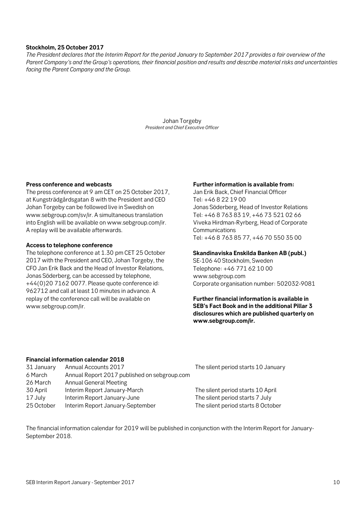## **Stockholm, 25 October 2017**

*The President declares that the Interim Report for the period January to September 2017 provides a fair overview of the Parent Company's and the Group's operations, their financial position and results and describe material risks and uncertainties facing the Parent Company and the Group.*

> Johan Torgeby *President and Chief Executive Officer*

## **Press conference and webcasts**

The press conference at 9 am CET on 25 October 2017, at Kungsträdgårdsgatan 8 with the President and CEO Johan Torgeby can be followed live in Swedish on www.sebgroup.com/sv/ir. A simultaneous translation into English will be available on www.sebgroup.com/ir. A replay will be available afterwards.

#### **Access to telephone conference**

The telephone conference at 1.30 pm CET 25 October 2017 with the President and CEO, Johan Torgeby, the CFO Jan Erik Back and the Head of Investor Relations, Jonas Söderberg, can be accessed by telephone, +44(0)20 7162 0077. Please quote conference id: 962712 and call at least 10 minutes in advance. A replay of the conference call will be available on www.sebgroup.com/ir.

## **Further information is available from:**

Jan Erik Back, Chief Financial Officer Tel: +46 8 22 19 00 Jonas Söderberg, Head of Investor Relations Tel: +46 8 763 83 19, +46 73 521 02 66 Viveka Hirdman-Ryrberg, Head of Corporate **Communications** Tel: +46 8 763 85 77, +46 70 550 35 00

## **Skandinaviska Enskilda Banken AB (publ.)**

SE-106 40 Stockholm, Sweden Telephone: +46 771 62 10 00 www.sebgroup.com Corporate organisation number: 502032-9081

**Further financial information is available in SEB's Fact Book and in the additional Pillar 3 disclosures which are published quarterly on www.sebgroup.com/ir.** 

## **Financial information calendar 2018**

| 31 January | Annual Accounts 2017                         |
|------------|----------------------------------------------|
| 6 March    | Annual Report 2017 published on sebgroup.com |
| 26 March   | <b>Annual General Meeting</b>                |
| 30 April   | Interim Report January-March                 |
| 17 July    | Interim Report January-June                  |
| 25 October | Interim Report January-September             |

The silent period starts 10 January

The silent period starts 10 April The silent period starts 7 July The silent period starts 8 October

The financial information calendar for 2019 will be published in conjunction with the Interim Report for January-September 2018.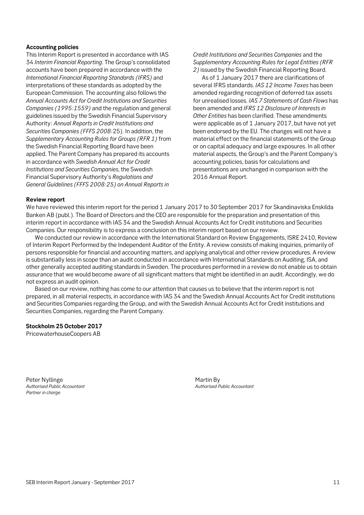## **Accounting policies**

This Interim Report is presented in accordance with IAS 34 *Interim Financial Reporting*. The Group's consolidated accounts have been prepared in accordance with the *International Financial Reporting Standards (IFRS)* and interpretations of these standards as adopted by the European Commission. The accounting also follows the *Annual Accounts Act for Credit Institutions and Securities Companies (1995:1559)* and the regulation and general guidelines issued by the Swedish Financial Supervisory Authority: *Annual Reports in Credit Institutions and Securities Companies (FFFS 2008:*25). In addition, the *Supplementary Accounting Rules for Groups (RFR 1)* from the Swedish Financial Reporting Board have been applied. The Parent Company has prepared its accounts in accordance with *Swedish Annual Act for Credit Institutions and Securities Companies*, the Swedish Financial Supervisory Authority's *Regulations and General Guidelines (FFFS 2008:25) on Annual Reports in*

*Credit Institutions and Securities Companies* and the *Supplementary Accounting Rules for Legal Entities (RFR 2)* issued by the Swedish Financial Reporting Board.

As of 1 January 2017 there are clarifications of several IFRS standards. *IAS 12 Income Taxes* has been amended regarding recognition of deferred tax assets for unrealised losses. *IAS 7 Statements of Cash Flows* has been amended and *IFRS 12 Disclosure of Interests in Other Entities* has been clarified. These amendments were applicable as of 1 January 2017, but have not yet been endorsed by the EU. The changes will not have a material effect on the financial statements of the Group or on capital adequacy and large exposures. In all other material aspects, the Group's and the Parent Company's accounting policies, basis for calculations and presentations are unchanged in comparison with the 2016 Annual Report.

## **Review report**

We have reviewed this interim report for the period 1 January 2017 to 30 September 2017 for Skandinaviska Enskilda Banken AB (publ.). The Board of Directors and the CEO are responsible for the preparation and presentation of this interim report in accordance with IAS 34 and the Swedish Annual Accounts Act for Credit institutions and Securities Companies. Our responsibility is to express a conclusion on this interim report based on our review.

We conducted our review in accordance with the International Standard on Review Engagements, ISRE 2410, Review of Interim Report Performed by the Independent Auditor of the Entity. A review consists of making inquiries, primarily of persons responsible for financial and accounting matters, and applying analytical and other review procedures. A review is substantially less in scope than an audit conducted in accordance with International Standards on Auditing, ISA, and other generally accepted auditing standards in Sweden. The procedures performed in a review do not enable us to obtain assurance that we would become aware of all significant matters that might be identified in an audit. Accordingly, we do not express an audit opinion.

Based on our review, nothing has come to our attention that causes us to believe that the interim report is not prepared, in all material respects, in accordance with IAS 34 and the Swedish Annual Accounts Act for Credit institutions and Securities Companies regarding the Group, and with the Swedish Annual Accounts Act for Credit institutions and Securities Companies, regarding the Parent Company.

### **Stockholm 25 October 2017**

PricewaterhouseCoopers AB

Peter Nyllinge **Martin By**<br> *Authorised Public Accountant* Action Actor Actor Actor Actorised Particle Actor Actor Actor Actor Actor Actor Actor Actor Actor Actor Actor Actor Actor Actor Actor Actor Actor Actor Actor Actor *Partner in charge* 

*Authorised Public Accountant Authorised Public Accountant*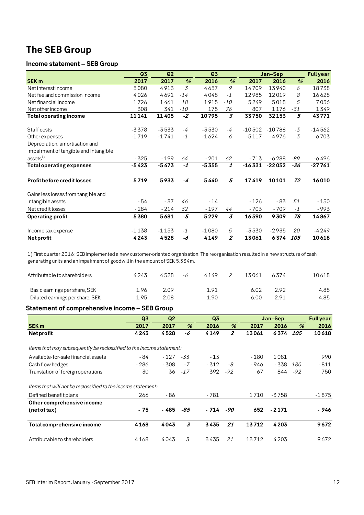## **The SEB Group**

## **Income statement – SEB Group**

|                                       | Q <sub>3</sub> | Q2      |               | Q3      |                |          | Jan-Sep  |       | <b>Full year</b> |
|---------------------------------------|----------------|---------|---------------|---------|----------------|----------|----------|-------|------------------|
| <b>SEK m</b>                          | 2017           | 2017    | $\frac{9}{6}$ | 2016    | $\frac{9}{6}$  | 2017     | 2016     | %     | 2016             |
| Net interest income                   | 5080           | 4913    | 3             | 4657    | 9              | 14709    | 13940    | 6     | 18738            |
| Net fee and commission income         | 4026           | 4691    | $-14$         | 4048    | $-1$           | 12985    | 12019    | 8     | 16628            |
| Net financial income                  | 1726           | 1461    | 18            | 1915    | $-10$          | 5249     | 5018     | 5     | 7056             |
| Net other income                      | 308            | 341     | $-10$         | 175     | 76             | 807      | 1176     | $-31$ | 1349             |
| Total operating income                | 11141          | 11405   | $-2$          | 10795   | 3              | 33750    | 32153    | 5     | 43771            |
| Staff costs                           | $-3378$        | $-3533$ | -4            | $-3530$ | -4             | $-10502$ | $-10788$ | $-3$  | $-14562$         |
| Other expenses                        | $-1719$        | $-1741$ | $-1$          | $-1624$ | 6              | $-5117$  | $-4976$  | 3     | $-6703$          |
| Depreciation, amortisation and        |                |         |               |         |                |          |          |       |                  |
| impairment of tangible and intangible |                |         |               |         |                |          |          |       |                  |
| ases <sup>1</sup>                     | $-325$         | $-199$  | 64            | $-201$  | 62             | $-713$   | $-6288$  | -89   | $-6496$          |
| <b>Total operating expenses</b>       | $-5423$        | $-5473$ | $-1$          | $-5355$ | 1              | $-16331$ | $-22052$ | $-26$ | $-27761$         |
| <b>Profit before credit losses</b>    | 5719           | 5933    | -4            | 5440    | 5              | 17419    | 10101    | 72    | 16010            |
| Gains less losses from tangible and   |                |         |               |         |                |          |          |       |                  |
| intangible assets                     | - 54           | $-37$   | 46            | $-14$   |                | $-126$   | $-83$    | 51    | $-150$           |
| Net credit losses                     | $-284$         | $-214$  | 32            | $-197$  | 44             | $-703$   | $-709$   | $-1$  | - 993            |
| Operating profit                      | 5380           | 5681    | -5            | 5229    | 3              | 16590    | 9309     | 78    | 14867            |
| Income tax expense                    | $-1138$        | $-1153$ | $-1$          | $-1080$ | 5              | $-3530$  | $-2935$  | 20    | -4249            |
| <b>Netprofit</b>                      | 4243           | 4528    | -6            | 4149    | $\overline{z}$ | 13061    | 6374     | 105   | 10618            |

1) First quarter 2016: SEB implemented a new customer-oriented organisation. The reorganisation resulted in a new structure of cash generating units and an impairment of goodwill in the amount of SEK 5,334m.

| Attributable to shareholders    | 4243 | 4528 | -6 | 4149 | 13061 | 6374 | 10618 |
|---------------------------------|------|------|----|------|-------|------|-------|
| Basic earnings per share, SEK   | 1.96 | 2.09 |    | 1.91 | 6.02  | 292  | 4.88  |
| Diluted earnings per share, SEK | 1.95 | 2.08 |    | 1.90 | 6.00  | 291  | 4.85  |

## **Statement of comprehensive income – SEB Group**

|                                                                      | Q <sub>3</sub> | Q <sub>2</sub> |       | Q3    |                |       | Jan-Sep |               | <b>Fullyear</b> |
|----------------------------------------------------------------------|----------------|----------------|-------|-------|----------------|-------|---------|---------------|-----------------|
| <b>SEK m</b>                                                         | 2017           | 2017           | $\%$  | 2016  | %              | 2017  | 2016    | $\frac{9}{6}$ | 2016            |
| <b>Net profit</b>                                                    | 4243           | 4528           | -6    | 4149  | $\overline{2}$ | 13061 | 6374    | 105           | 10618           |
| Items that may subsequently be reclassified to the income statement: |                |                |       |       |                |       |         |               |                 |
| Available-for-sale financial assets                                  | - 84           | - 127          | -33   | $-13$ |                | - 180 | 1081    |               | 990             |
| Cash flow hedges                                                     | $-286$         | $-308$         | $-7$  | - 312 | -8             | - 946 | $-338$  | 180           | $-811$          |
| Translation of foreign operations                                    | 30             | 36             | $-17$ | 392   | $-92$          | 67    | 844     | $-92$         | 750             |
| Items that will not be reclassified to the income statement:         |                |                |       |       |                |       |         |               |                 |
| Defined benefit plans                                                | 266            | - 86           |       | - 781 |                | 1710  | -3758   |               | $-1875$         |
| Other comprehensive income                                           |                |                |       |       |                |       |         |               |                 |
| (net of tax)                                                         | - 75           | - 485          | -85   | - 714 | -90            | 652   | $-2171$ |               | - 946           |
| Total comprehensive income                                           | 4168           | 4043           | 3     | 3435  | 21             | 13712 | 4203    |               | 9672            |
| Attributable to shareholders                                         | 4168           | 4043           | 3     | 3435  | 21             | 13712 | 4203    |               | 9672            |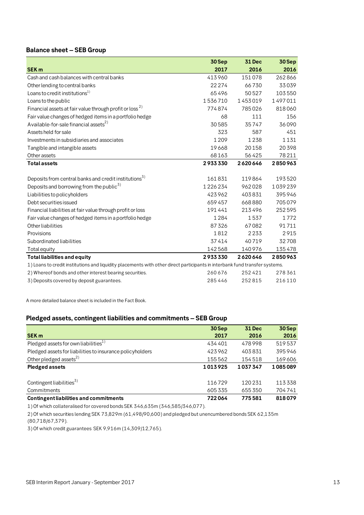## **Balance sheet – SEB Group**

|                                                                                                                             | 30Sep   | <b>31 Dec</b> | 30 Sep  |
|-----------------------------------------------------------------------------------------------------------------------------|---------|---------------|---------|
| <b>SEK m</b>                                                                                                                | 2017    | 2016          | 2016    |
| Cash and cash balances with central banks                                                                                   | 413960  | 151078        | 262866  |
| Other lending to central banks                                                                                              | 22274   | 66730         | 33039   |
| Loans to credit institutions <sup>1)</sup>                                                                                  | 65496   | 50527         | 103550  |
| Loans to the public                                                                                                         | 1536710 | 1453019       | 1497011 |
| Financial assets at fair value through profit or loss <sup>2)</sup>                                                         | 774874  | 785026        | 818060  |
| Fair value changes of hedged items in a portfolio hedge                                                                     | 68      | 111           | 156     |
| Available-for-sale financial assets <sup>2)</sup>                                                                           | 30585   | 35747         | 36090   |
| Assets held for sale                                                                                                        | 323     | 587           | 451     |
| Investments in subsidiaries and associates                                                                                  | 1 2 0 9 | 1238          | 1131    |
| Tangible and intangible assets                                                                                              | 19668   | 20158         | 20398   |
| Other assets                                                                                                                | 68163   | 56425         | 78211   |
| <b>Total assets</b>                                                                                                         | 2933330 | 2620646       | 2850963 |
| Deposits from central banks and credit institutions <sup>5)</sup>                                                           | 161831  | 119864        | 193520  |
| Deposits and borrowing from the public <sup>3)</sup>                                                                        | 1226234 | 962028        | 1039239 |
| Liabilities to policyholders                                                                                                | 423962  | 403831        | 395946  |
| Debt securities issued                                                                                                      | 659457  | 668880        | 705079  |
| Financial liabilities at fair value through profit or loss                                                                  | 191441  | 213496        | 252595  |
| Fair value changes of hedged items in a portfolio hedge                                                                     | 1284    | 1537          | 1772    |
| Other liabilities                                                                                                           | 87326   | 67082         | 91711   |
| Provisions                                                                                                                  | 1812    | 2233          | 2915    |
| Subordinated liabilities                                                                                                    | 37414   | 40719         | 32708   |
| Total equity                                                                                                                | 142568  | 140976        | 135478  |
| <b>Total liabilities and equity</b>                                                                                         | 2933330 | 2620646       | 2850963 |
| 1) Loans to credit institutions and liquidity placements with other direct participants in interbank fund transfer systems. |         |               |         |
| 2) Whereof bonds and other interest bearing securities.                                                                     | 260 676 | 252421        | 278361  |
| 3) Deposits covered by deposit guarantees.                                                                                  | 285446  | 252815        | 216110  |

A more detailed balance sheet is included in the Fact Book.

## **Pledged assets, contingent liabilities and commitments – SEB Group**

|                                                           | 30 Sep  | <b>31 Dec</b> | 30 Sep  |
|-----------------------------------------------------------|---------|---------------|---------|
| <b>SEK m</b>                                              | 2017    | 2016          | 2016    |
| Pledged assets for own liabilities $^{1)}$                | 434 401 | 478998        | 519537  |
| Pledged assets for liabilities to insurance policyholders | 423962  | 403831        | 395946  |
| Other pledged assets $^{2)}$                              | 155562  | 154518        | 169606  |
| <b>Pledged assets</b>                                     | 1013925 | 1037347       | 1085089 |
|                                                           |         |               |         |
| Contingent liabilities <sup>3)</sup>                      | 116729  | 120231        | 113338  |
| Commitments                                               | 605335  | 655350        | 704741  |
| <b>Contingent liabilities and commitments</b>             | 722064  | 775581        | 818079  |

1) Of which collateralised for covered bonds SEK 346,635m (346,585/346,077).

2) Of which securities lending SEK 73,829m (61,498/90,600) and pledged but unencumbered bonds SEK 62,135m

(80,718/67,379).

3) Of which credit guarantees SEK 9,916m (14,309/12,765).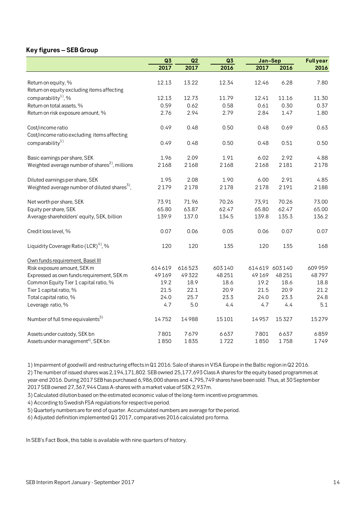## **Key figures – SEB Group**

|                                                            | Q <sub>3</sub> | Q2     | Q3     | Jan-Sep |               | <b>Full year</b> |
|------------------------------------------------------------|----------------|--------|--------|---------|---------------|------------------|
|                                                            | 2017           | 2017   | 2016   | 2017    | 2016          | 2016             |
|                                                            |                |        |        |         |               |                  |
| Return on equity, %                                        | 12.13          | 13.22  | 12.34  | 12.46   | 6.28          | 7.80             |
| Return on equity excluding items affecting                 |                |        |        |         |               |                  |
| comparability <sup>1</sup> , %                             | 12.13          | 12.73  | 11.79  | 12.41   | 11.16         | 11.30            |
| Return on total assets, %                                  | 0.59           | 0.62   | 0.58   | 0.61    | 0.30          | 0.37             |
| Return on risk exposure amount, %                          | 2.76           | 2.94   | 2.79   | 2.84    | 1.47          | 1.80             |
| Cost/income ratio                                          | 0.49           | 0.48   | 0.50   | 0.48    | 0.69          | 0.63             |
| Cost/income ratio excluding items affecting                |                |        |        |         |               |                  |
| comparability <sup>1)</sup>                                | 0.49           | 0.48   | 0.50   | 0.48    | 0.51          | 0.50             |
| Basic earnings per share, SEK                              | 1.96           | 2.09   | 1.91   | 6.02    | 2.92          | 4.88             |
| Weighted average number of shares <sup>2)</sup> , millions | 2168           | 2168   | 2168   | 2168    | 2181          | 2178             |
|                                                            |                |        |        |         |               |                  |
| Diluted earnings per share, SEK                            | 1.95           | 2.08   | 1.90   | 6.00    | 2.91          | 4.85             |
| Weighted average number of diluted shares <sup>3</sup> ,   | 2179           | 2178   | 2178   | 2178    | 2191          | 2188             |
|                                                            |                |        |        |         |               |                  |
| Net worth per share, SEK                                   | 73.91          | 71.96  | 70.26  | 73,91   | 70.26         | 73.00            |
| Equity per share, SEK                                      | 65.80          | 63.87  | 62.47  | 65.80   | 62.47         | 65.00            |
| Average shareholders' equity, SEK, billion                 | 139.9          | 137.0  | 134.5  | 139.8   | 135.3         | 136.2            |
| Credit loss level, %                                       | 0.07           | 0.06   | 0.05   | 0.06    | 0.07          | 0.07             |
| Liquidity Coverage Ratio (LCR) <sup>4)</sup> , %           | 120            | 120    | 135    | 120     | 135           | 168              |
| Own funds requirement, Basel III                           |                |        |        |         |               |                  |
| Risk exposure amount, SEK m                                | 614619         | 616523 | 603140 |         | 614619 603140 | 609959           |
| Expressed as own funds requirement, SEK m                  | 49169          | 49322  | 48251  | 49169   | 48 25 1       | 48797            |
| Common Equity Tier 1 capital ratio, %                      | 19.2           | 18.9   | 18.6   | 19.2    | 18.6          | 18.8             |
| Tier 1 capital ratio, %                                    | 21.5           | 22.1   | 20.9   | 21.5    | 20.9          | 21.2             |
| Total capital ratio, %                                     | 24.0           | 25.7   | 23.3   | 24.0    | 23.3          | 24.8             |
| Leverage ratio, %                                          | 4.7            | 5.0    | 4.4    | 4.7     | 4.4           | 5.1              |
| Number of full time equivalents <sup>5)</sup>              | 14752          | 14988  | 15101  | 14957   | 15327         | 15279            |
| Assets under custody, SEK bn                               | 7801           | 7679   | 6637   | 7801    | 6637          | 6859             |
| Assets under management <sup>6)</sup> , SEK bn             | 1850           | 1835   | 1722   | 1850    | 1758          | 1749             |

1) Impairment of goodwill and restructuring effects in Q1 2016. Sale of shares in VISA Europe in the Baltic region in Q2 2016.

2) The number of issued shares was 2,194,171,802. SEB owned 25,177,693 Class A shares for the equity based programmes at year-end 2016. During 2017 SEB has purchased 6,986,000 shares and 4,795,749 shares have been sold. Thus, at 30 September 2017 SEB owned 27,367,944 Class A-shares with a market value of SEK 2,937m.

3) Calculated dilution based on the estimated economic value of the long-term incentive programmes.

4) According to Swedish FSA regulations for respective period.

5) Quarterly numbers are for end of quarter. Accumulated numbers are average for the period.

6) Adjusted definition implemented Q1 2017, comparatives 2016 calculated pro forma.

In SEB's Fact Book, this table is available with nine quarters of history.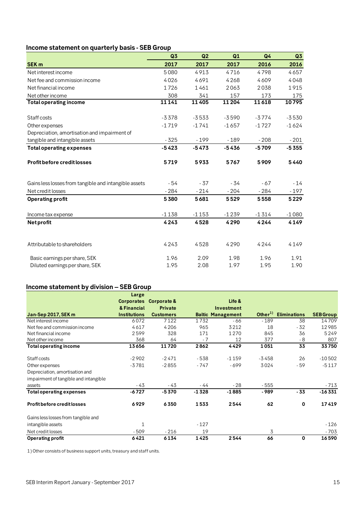## **Income statement on quarterly basis - SEB Group**

|                                                       | Q3      | Q2      | Q1      | Q <sub>4</sub> | Q <sub>3</sub> |
|-------------------------------------------------------|---------|---------|---------|----------------|----------------|
| <b>SEK m</b>                                          | 2017    | 2017    | 2017    | 2016           | 2016           |
| Net interest income                                   | 5080    | 4913    | 4716    | 4798           | 4657           |
| Net fee and commission income                         | 4026    | 4691    | 4268    | 4609           | 4048           |
| Net financial income                                  | 1726    | 1461    | 2063    | 2038           | 1915           |
| Net other income                                      | 308     | 341     | 157     | 173            | 175            |
| <b>Total operating income</b>                         | 11141   | 11405   | 11204   | 11618          | 10795          |
| Staff costs                                           | $-3378$ | $-3533$ | $-3590$ | $-3774$        | $-3530$        |
| Other expenses                                        | $-1719$ | $-1741$ | $-1657$ | $-1727$        | $-1624$        |
| Depreciation, amortisation and impairment of          |         |         |         |                |                |
| tangible and intangible assets                        | $-325$  | $-199$  | $-189$  | $-208$         | $-201$         |
| <b>Total operating expenses</b>                       | $-5423$ | $-5473$ | $-5436$ | $-5709$        | $-5355$        |
| <b>Profit before credit losses</b>                    | 5719    | 5933    | 5767    | 5909           | 5440           |
| Gains less losses from tangible and intangible assets | $-54$   | $-37$   | $-34$   | $-67$          | $-14$          |
| Net credit losses                                     | $-284$  | $-214$  | $-204$  | $-284$         | $-197$         |
| <b>Operating profit</b>                               | 5380    | 5681    | 5529    | 5558           | 5229           |
| Income tax expense                                    | $-1138$ | $-1153$ | $-1239$ | $-1314$        | $-1080$        |
| <b>Net profit</b>                                     | 4243    | 4528    | 4290    | 4244           | 4149           |
| Attributable to shareholders                          | 4243    | 4528    | 4290    | 4244           | 4149           |
| Basic earnings per share, SEK                         | 1.96    | 2.09    | 1.98    | 1.96           | 1.91           |
| Diluted earnings per share, SEK                       | 1.95    | 2.08    | 1.97    | 1.95           | 1.90           |

## **Income statement by division – SEB Group**

|                                       | Large               |                        |         |                          |               |                     |                  |
|---------------------------------------|---------------------|------------------------|---------|--------------------------|---------------|---------------------|------------------|
|                                       |                     | Corporates Corporate & |         | Life &                   |               |                     |                  |
|                                       | & Financial         | Private                |         | Investment               |               |                     |                  |
| Jan-Sep 2017, SEK m                   | <b>Institutions</b> | <b>Customers</b>       |         | <b>Baltic Management</b> | Other $^{1)}$ | <b>Eliminations</b> | <b>SEB Group</b> |
| Net interest income                   | 6072                | 7122                   | 1732    | - 66                     | $-189$        | 38                  | 14709            |
| Net fee and commission income         | 4617                | 4206                   | 965     | 3212                     | 18            | - 32                | 12985            |
| Net financial income                  | 2599                | 328                    | 171     | 1270                     | 845           | 36                  | 5249             |
| Net other income                      | 368                 | 64                     | $-7$    | 12                       | 377           | $-8$                | 807              |
| <b>Total operating income</b>         | 13656               | 11720                  | 2862    | 4429                     | 1051          | 33                  | 33750            |
| Staff costs                           | $-2902$             | $-2471$                | $-538$  | $-1159$                  | -3458         | 26                  | $-10502$         |
| Other expenses                        | $-3781$             | $-2855$                | $-747$  | $-699$                   | 3024          | $-59$               | $-5117$          |
| Depreciation, amortisation and        |                     |                        |         |                          |               |                     |                  |
| impairment of tangible and intangible |                     |                        |         |                          |               |                     |                  |
| assets                                | - 43                | - 43                   | - 44    | $-28$                    | - 555         |                     | $-713$           |
| <b>Total operating expenses</b>       | $-6727$             | $-5370$                | $-1328$ | $-1885$                  | - 989         | - 33                | $-16331$         |
| Profit before credit losses           | 6929                | 6350                   | 1533    | 2544                     | 62            | 0                   | 17419            |
| Gains less losses from tangible and   |                     |                        |         |                          |               |                     |                  |
| intangible assets                     | $\mathbf{1}$        |                        | $-127$  |                          |               |                     | $-126$           |
| Net credit losses                     | $-509$              | $-216$                 | 19      |                          | 3             |                     | - 703            |
| <b>Operating profit</b>               | 6421                | 6134                   | 1425    | 2544                     | 66            | 0                   | 16590            |

1) Other consists of business support units, treasury and staff units.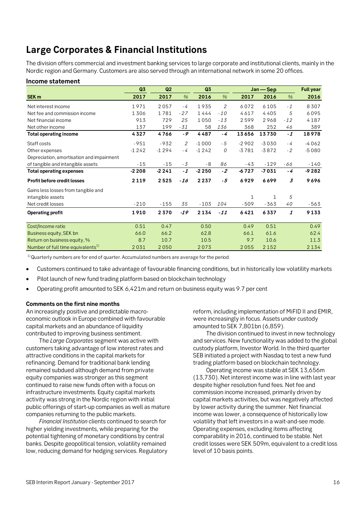## **Large Corporates & Financial Institutions**

The division offers commercial and investment banking services to large corporate and institutional clients, mainly in the Nordic region and Germany. Customers are also served through an international network in some 20 offices.

|                                               | Q <sub>3</sub> | Q2      |                | Q <sub>3</sub> |       |         | $Jan - Sep$  |       | <b>Full year</b> |
|-----------------------------------------------|----------------|---------|----------------|----------------|-------|---------|--------------|-------|------------------|
| SEK <sub>m</sub>                              | 2017           | 2017    | %              | 2016           | %     | 2017    | 2016         | %     | 2016             |
| Net interest income                           | 1971           | 2057    | $-4$           | 1935           | 2     | 6072    | 6105         | $-1$  | 8307             |
| Net fee and commission income                 | 1306           | 1781    | $-27$          | 1444           | $-10$ | 4617    | 4405         | 5     | 6095             |
| Net financial income                          | 913            | 729     | 25             | 1050           | $-13$ | 2599    | 2968         | $-12$ | 4187             |
| Net other income                              | 137            | 199     | $-31$          | 58             | 136   | 368     | 252          | 46    | 389              |
| <b>Total operating income</b>                 | 4327           | 4766    | $-9$           | 4487           | - 4   | 13656   | 13730        | $-1$  | 18978            |
| Staff costs                                   | $-951$         | $-932$  | $\overline{2}$ | $-1000$        | $-5$  | $-2902$ | $-3030$      | - 4   | $-4062$          |
| Other expenses                                | $-1242$        | $-1294$ | $-4$           | $-1242$        | 0     | $-3781$ | $-3872$      | $-2$  | $-5080$          |
| Depreciation, amortisation and impairment     |                |         |                |                |       |         |              |       |                  |
| of tangible and intangible assets             | $-15$          | $-15$   | $-3$           | $-8$           | 86    | -43     | $-129$       | -66   | $-140$           |
| Total operating expenses                      | $-2208$        | $-2241$ | $-1$           | $-2250$        | $-2$  | $-6727$ | $-7031$      | $-4$  | $-9282$          |
| Profit before credit losses                   | 2119           | 2525    | $-16$          | 2237           | $-5$  | 6929    | 6699         | 3     | 9696             |
| Gains less losses from tangible and           |                |         |                |                |       |         |              |       |                  |
| intangible assets                             |                |         |                |                |       | 1       | $\mathbf{1}$ | 5     |                  |
| Net credit losses                             | $-210$         | $-155$  | 35             | $-103$         | 104   | $-509$  | $-363$       | 40    | $-563$           |
| <b>Operating profit</b>                       | 1910           | 2370    | $-19$          | 2134           | $-11$ | 6421    | 6337         | 1     | 9133             |
| Cost/Income ratio                             | 0.51           | 0.47    |                | 0.50           |       | 0.49    | 0.51         |       | 0.49             |
| Business equity, SEK bn                       | 66.0           | 66.2    |                | 62.8           |       | 66.1    | 61.6         |       | 62.4             |
| Return on business equity, %                  | 8.7            | 10.7    |                | 10.5           |       | 9.7     | 10.6         |       | 11.3             |
| Number of full time equivalents <sup>1)</sup> | 2031           | 2050    |                | 2073           |       | 2055    | 2152         |       | 2134             |

 $1)$ Quarterly numbers are for end of quarter. Accumulated numbers are average for the period.

- Customers continued to take advantage of favourable financing conditions, but in historically low volatility markets
- Pilot launch of new fund trading platform based on blockchain technology
- Operating profit amounted to SEK 6,421m and return on business equity was 9.7 per cent

## **Comments on the first nine months**

**Income statement** 

An increasingly positive and predictable macroeconomic outlook in Europe combined with favourable capital markets and an abundance of liquidity contributed to improving business sentiment.

The *Large Corporates* segment was active with customers taking advantage of low interest rates and attractive conditions in the capital markets for refinancing. Demand for traditional bank lending remained subdued although demand from private equity companies was stronger as this segment continued to raise new funds often with a focus on infrastructure investments. Equity capital markets activity was strong in the Nordic region with initial public offerings of start-up companies as well as mature companies returning to the public markets.

*Financial Institution* clients continued to search for higher yielding investments, while preparing for the potential tightening of monetary conditions by central banks. Despite geopolitical tension, volatility remained low, reducing demand for hedging services. Regulatory reform, including implementation of MiFID II and EMIR, were increasingly in focus. Assets under custody amounted to SEK 7,801bn (6,859).

The division continued to invest in new technology and services. New functionality was added to the global custody platform, Investor World. In the third quarter SEB initiated a project with Nasdaq to test a new fund trading platform based on blockchain technology.

Operating income was stable at SEK 13,656m (13,730). Net interest income was in line with last year despite higher resolution fund fees. Net fee and commission income increased, primarily driven by capital markets activities, but was negatively affected by lower activity during the summer. Net financial income was lower, a consequence of historically low volatility that left investors in a wait-and-see mode. Operating expenses, excluding items affecting comparability in 2016, continued to be stable. Net credit losses were SEK 509m, equivalent to a credit loss level of 10 basis points.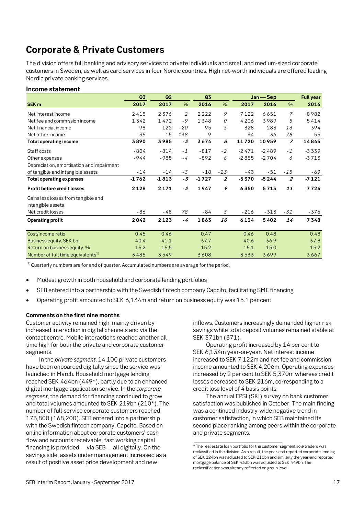## **Corporate & Private Customers**

The division offers full banking and advisory services to private individuals and small and medium-sized corporate customers in Sweden, as well as card services in four Nordic countries. High net-worth individuals are offered leading Nordic private banking services.

## **Income statement**

|                                               | Q <sub>3</sub> | Q2      |               | Q3      |                | Jan - Sep |         | <b>Full year</b> |         |
|-----------------------------------------------|----------------|---------|---------------|---------|----------------|-----------|---------|------------------|---------|
| SEK <sub>m</sub>                              | 2017           | 2017    | $\frac{9}{6}$ | 2016    | $\%$           | 2017      | 2016    | $\%$             | 2016    |
| Net interest income                           | 2415           | 2376    | 2             | 2222    | 9              | 7122      | 6651    | $\overline{z}$   | 8982    |
| Net fee and commission income                 | 1342           | 1472    | $-9$          | 1348    | 0              | 4206      | 3989    | 5                | 5414    |
| Net financial income                          | 98             | 122     | $-20$         | 95      | 3              | 328       | 283     | 16               | 394     |
| Net other income                              | 35             | 15      | 138           | 9       |                | 64        | 36      | 78               | 55      |
| <b>Total operating income</b>                 | 3890           | 3985    | $-2$          | 3674    | 6              | 11720     | 10959   | $\overline{z}$   | 14845   |
| Staff costs                                   | $-804$         | $-814$  | $-1$          | $-817$  | $-2$           | $-2471$   | $-2489$ | $-1$             | $-3339$ |
| Other expenses                                | $-944$         | $-985$  | $-4$          | $-892$  | 6              | $-2855$   | $-2704$ | 6                | $-3713$ |
| Depreciation, amortisation and impairment     |                |         |               |         |                |           |         |                  |         |
| of tangible and intangible assets             | $-14$          | -14     | $-3$          | $-18$   | $-23$          | -43       | $-51$   | $-15$            | -69     |
| <b>Total operating expenses</b>               | $-1762$        | $-1813$ | $-3$          | $-1727$ | $\overline{2}$ | $-5370$   | $-5244$ | $\overline{2}$   | $-7121$ |
| Profit before credit losses                   | 2128           | 2171    | $-2$          | 1947    | 9              | 6350      | 5715    | 11               | 7724    |
| Gains less losses from tangible and           |                |         |               |         |                |           |         |                  |         |
| intangible assets                             |                |         |               |         |                |           |         |                  |         |
| Net credit losses                             | $-86$          | -48     | 78            | - 84    | $\overline{3}$ | $-216$    | $-313$  | $-31$            | -376    |
| <b>Operating profit</b>                       | 2042           | 2123    | $-4$          | 1863    | <i>10</i>      | 6134      | 5402    | 14               | 7348    |
|                                               |                |         |               |         |                |           |         |                  |         |
| Cost/Income ratio                             | 0.45           | 0.46    |               | 0.47    |                | 0.46      | 0.48    |                  | 0.48    |
| Business equity, SEK bn                       | 40.4           | 41.1    |               | 37.7    |                | 40.6      | 36.9    |                  | 37.3    |
| Return on business equity, %                  | 15.2           | 15.5    |               | 15.2    |                | 15.1      | 15.0    |                  | 15.2    |
| Number of full time equivalents <sup>1)</sup> | 3485           | 3549    |               | 3608    |                | 3533      | 3699    |                  | 3667    |

 $1)$ Quarterly numbers are for end of quarter. Accumulated numbers are average for the period.

- Modest growth in both household and corporate lending portfolios
- SEB entered into a partnership with the Swedish fintech company Capcito, facilitating SME financing
- Operating profit amounted to SEK 6,134m and return on business equity was 15.1 per cent

## **Comments on the first nine months**

Customer activity remained high, mainly driven by increased interaction in digital channels and via the contact centre. Mobile interactions reached another alltime high for both the private and corporate customer segments.

In the *private segment*, 14,100 private customers have been onboarded digitally since the service was launched in March. Household mortgage lending reached SEK 464bn (449\*), partly due to an enhanced digital mortgage application service. In the *corporate segment*, the demand for financing continued to grow and total volumes amounted to SEK 219bn (210\*). The number of full-service corporate customers reached 173,800 (168,200). SEB entered into a partnership with the Swedish fintech company, Capcito. Based on online information about corporate customers' cash flow and accounts receivable, fast working capital financing is provided  $-$  via SEB  $-$  all digitally. On the savings side, assets under management increased as a result of positive asset price development and new

inflows. Customers increasingly demanded higher risk savings while total deposit volumes remained stable at SEK 371bn (371).

Operating profit increased by 14 per cent to SEK 6,134m year-on-year. Net interest income increased to SEK 7,122m and net fee and commission income amounted to SEK 4,206m. Operating expenses increased by 2 per cent to SEK 5,370m whereas credit losses decreased to SEK 216m, corresponding to a credit loss level of 4 basis points.

The annual EPSI (SKI) survey on bank customer satisfaction was published in October. The main finding was a continued industry-wide negative trend in customer satisfaction, in which SEB maintained its second place ranking among peers within the corporate and private segments.

 $\_$ 

<sup>\*</sup> The real estate loan portfolio for the customer segment sole traders was reclassified in the division. As a result, the year-end reported corporate lending of SEK 224bn was adjusted to SEK 210bn and similarly the year-end reported mortgage balance of SEK 433bn was adjusted to SEK 449bn. The reclassification was already reflected on group level.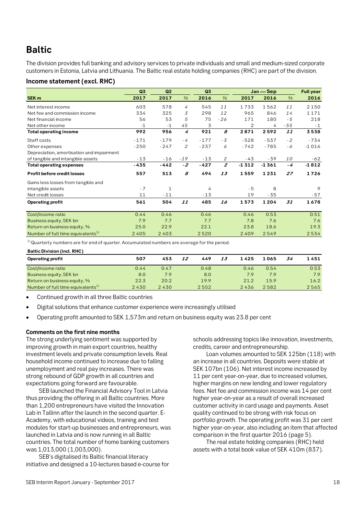## **Baltic**

The division provides full banking and advisory services to private individuals and small and medium-sized corporate customers in Estonia, Latvia and Lithuania. The Baltic real estate holding companies (RHC) are part of the division.

## **Income statement (excl. RHC)**

|                                               | Q <sub>3</sub> | Q2     |       | Q <sub>3</sub> |                |                | Jan - Sep |       | <b>Full year</b> |
|-----------------------------------------------|----------------|--------|-------|----------------|----------------|----------------|-----------|-------|------------------|
| <b>SEK m</b>                                  | 2017           | 2017   | $\%$  | 2016           | $\%$           | 2017           | 2016      | $\%$  | 2016             |
| Net interest income                           | 603            | 578    | 4     | 545            | 11             | 1733           | 1562      | 11    | 2150             |
| Net fee and commission income                 | 334            | 325    | 3     | 298            | 12             | 965            | 846       | 14    | 1171             |
| Net financial income                          | 56             | 53     | 5     | 75             | $-26$          | 171            | 180       | - 5   | 218              |
| Net other income                              | $-1$           | $-1$   | 45    | 3              |                | $\overline{2}$ | 4         | $-55$ | $-1$             |
| <b>Total operating income</b>                 | 992            | 956    | 4     | 921            | 8              | 2871           | 2592      | 11    | 3538             |
| Staff costs                                   | $-171$         | $-179$ | $-4$  | $-177$         | - 3            | $-528$         | $-537$    | $-2$  | $-734$           |
| Other expenses                                | $-250$         | $-247$ | 2     | $-237$         | 6              | $-742$         | $-785$    | - 6   | $-1016$          |
| Depreciation, amortisation and impairment     |                |        |       |                |                |                |           |       |                  |
| of tangible and intangible assets             | $-13$          | $-16$  | $-19$ | $-13$          | $\overline{2}$ | -43            | - 39      | 10    | $-62$            |
| <b>Total operating expenses</b>               | $-435$         | $-442$ | $-2$  | $-427$         | $\overline{z}$ | $-1312$        | $-1361$   | - 4   | $-1812$          |
| <b>Profit before credit losses</b>            | 557            | 513    | 8     | 494            | 13             | 1559           | 1231      | 27    | 1726             |
| Gains less losses from tangible and           |                |        |       |                |                |                |           |       |                  |
| intangible assets                             | $-7$           | 1      |       | 4              |                | $-5$           | 8         |       | 9                |
| Net credit losses                             | 11             | $-11$  |       | $-13$          |                | 19             | -35       |       | -57              |
| <b>Operating profit</b>                       | 561            | 504    | 11    | 485            | 16             | 1573           | 1204      | 31    | 1678             |
|                                               |                |        |       |                |                |                |           |       |                  |
| Cost/Income ratio                             | 0.44           | 0.46   |       | 0.46           |                | 0.46           | 0.53      |       | 0.51             |
| Business equity, SEK bn                       | 7.9            | 7.7    |       | 7.7            |                | 7.8            | 7.6       |       | 7.6              |
| Return on business equity, %                  | 25.0           | 22.9   |       | 22.1           |                | 23.8           | 18.6      |       | 19.3             |
| Number of full time equivalents <sup>1)</sup> | 2405           | 2403   |       | 2520           |                | 2409           | 2549      |       | 2534             |

 $1)$ Quarterly numbers are for end of quarter. Accumulated numbers are average for the period.

| <b>Baltic Division (incl. RHC)</b>            |      |      |    |      |    |      |      |    |      |
|-----------------------------------------------|------|------|----|------|----|------|------|----|------|
| <b>Operating profit</b>                       | 507  | 453  | 12 | 449  | 13 | 1425 | 1065 | 34 | 1451 |
| Cost/Income ratio                             | 0.44 | 0.47 |    | 0.48 |    | 0.46 | 0.54 |    | 0.53 |
| Business equity, SEK bn                       | 8.0  | 7.9  |    | 8.0  |    | 7.9  | 7.9  |    | 7.9  |
| Return on business equity, %                  | 22.3 | 20.2 |    | 19.9 |    | 21.2 | 15.9 |    | 16.2 |
| Number of full time equivalents <sup>1)</sup> | 2430 | 2430 |    | 2552 |    | 2436 | 2582 |    | 2565 |

- Continued growth in all three Baltic countries
- Digital solutions that enhance customer experience were increasingly utilised
- Operating profit amounted to SEK 1,573m and return on business equity was 23.8 per cent

## **Comments on the first nine months**

The strong underlying sentiment was supported by improving growth in main export countries, healthy investment levels and private consumption levels. Real household income continued to increase due to falling unemployment and real pay increases. There was strong rebound of GDP growth in all countries and expectations going forward are favourable.

SEB launched the Financial Advisory Tool in Latvia thus providing the offering in all Baltic countries. More than 1,200 entrepreneurs have visited the Innovation Lab in Tallinn after the launch in the second quarter. E-Academy, with educational videos, training and test modules for start-up businesses and entrepreneurs, was launched in Latvia and is now running in all Baltic countries. The total number of home banking customers was 1,013,000 (1,003,000).

SEB's digitalised its Baltic financial literacy initiative and designed a 10-lectures based e-course for schools addressing topics like innovation, investments, credits, career and entrepreneurship.

Loan volumes amounted to SEK 125bn (118) with an increase in all countries. Deposits were stable at SEK 107bn (106). Net interest income increased by 11 per cent year-on-year, due to increased volumes, higher margins on new lending and lower regulatory fees. Net fee and commission income was 14 per cent higher year-on-year as a result of overall increased customer activity in card usage and payments. Asset quality continued to be strong with risk focus on portfolio growth. The operating profit was 31 per cent higher year-on-year, also including an item that affected comparison in the first quarter 2016 (page 5).

The real estate holding companies (RHC) held assets with a total book value of SEK 410m (837).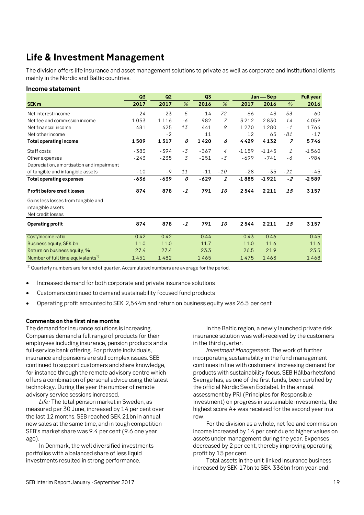## **Life & Investment Management**

The division offers life insurance and asset management solutions to private as well as corporate and institutional clients mainly in the Nordic and Baltic countries.

## **Income statement**

|                                                                               | Q3     | Q2     |               | Q <sub>3</sub> |               | Jan - Sep |         |                | <b>Full year</b> |
|-------------------------------------------------------------------------------|--------|--------|---------------|----------------|---------------|-----------|---------|----------------|------------------|
| SEK <sub>m</sub>                                                              | 2017   | 2017   | $\frac{9}{6}$ | 2016           | $\frac{9}{6}$ | 2017      | 2016    | $\frac{0}{6}$  | 2016             |
| Net interest income                                                           | $-24$  | $-23$  | 5             | $-14$          | 72            | $-66$     | $-43$   | 53             | $-60$            |
| Net fee and commission income                                                 | 1053   | 1116   | - 6           | 982            | 7             | 3212      | 2830    | 14             | 4059             |
| Net financial income                                                          | 481    | 425    | 13            | 441            | 9             | 1270      | 1280    | $-1$           | 1764             |
| Net other income                                                              |        | $-2$   |               | 11             |               | 12        | 65      | - 81           | $-17$            |
| <b>Total operating income</b>                                                 | 1509   | 1517   | 0             | 1420           | 6             | 4429      | 4132    | $\overline{z}$ | 5746             |
| Staff costs                                                                   | $-383$ | $-394$ | $-3$          | $-367$         | 4             | $-1159$   | $-1145$ | $\mathcal{I}$  | $-1560$          |
| Other expenses                                                                | $-243$ | $-235$ | 3             | $-251$         | $-3$          | $-699$    | $-741$  | - 6            | $-984$           |
| Depreciation, amortisation and impairment                                     |        |        |               |                |               |           |         |                |                  |
| of tangible and intangible assets                                             | $-10$  | $-9$   | 11            | $-11$          | $-10$         | $-28$     | $-35$   | $-21$          | $-45$            |
| <b>Total operating expenses</b>                                               | -636   | $-639$ | 0             | $-629$         | 1             | $-1885$   | $-1921$ | $-2$           | $-2589$          |
| Profit before credit losses                                                   | 874    | 878    | $-1$          | 791            | 10            | 2544      | 2211    | 15             | 3157             |
| Gains less losses from tangible and<br>intangible assets<br>Net credit losses |        |        |               |                |               |           |         |                |                  |
| Operating profit                                                              | 874    | 878    | $-1$          | 791            | <i>10</i>     | 2544      | 2211    | 15             | 3157             |
| Cost/Income ratio                                                             | 0.42   | 0.42   |               | 0.44           |               | 0.43      | 0.46    |                | 0.45             |
| Business equity, SEK bn                                                       | 11.0   | 11.0   |               | 11.7           |               | 11.0      | 11.6    |                | 11.6             |
| Return on business equity, %                                                  | 27.4   | 27.4   |               | 23.3           |               | 26.5      | 21.9    |                | 23.5             |
| Number of full time equivalents <sup>1)</sup>                                 | 1451   | 1482   |               | 1465           |               | 1475      | 1463    |                | 1468             |

 $1)$  Quarterly numbers are for end of quarter. Accumulated numbers are average for the period.

- Increased demand for both corporate and private insurance solutions
- Customers continued to demand sustainability focused fund products
- Operating profit amounted to SEK 2,544m and return on business equity was 26.5 per cent

## **Comments on the first nine months**

The demand for insurance solutions is increasing. Companies demand a full range of products for their employees including insurance, pension products and a full-service bank offering. For private individuals, insurance and pensions are still complex issues. SEB continued to support customers and share knowledge, for instance through the remote advisory centre which offers a combination of personal advice using the latest technology. During the year the number of remote advisory service sessions increased.

*Life:* The total pension market in Sweden, as measured per 30 June, increased by 14 per cent over the last 12 months. SEB reached SEK 21bn in annual new sales at the same time, and in tough competition SEB's market share was 9.4 per cent (9.6 one year ago).

In Denmark, the well diversified investments portfolios with a balanced share of less liquid investments resulted in strong performance.

In the Baltic region, a newly launched private risk insurance solution was well-received by the customers in the third quarter.

*Investment Management:* The work of further incorporating sustainability in the fund management continues in line with customers' increasing demand for products with sustainability focus. SEB Hållbarhetsfond Sverige has, as one of the first funds, been certified by the official Nordic Swan Ecolabel. In the annual assessment by PRI (Principles for Responsible Investment) on progress in sustainable investments, the highest score A+ was received for the second year in a row.

For the division as a whole, net fee and commission income increased by 14 per cent due to higher values on assets under management during the year. Expenses decreased by 2 per cent, thereby improving operating profit by 15 per cent.

Total assets in the unit-linked insurance business increased by SEK 17bn to SEK 336bn from year-end.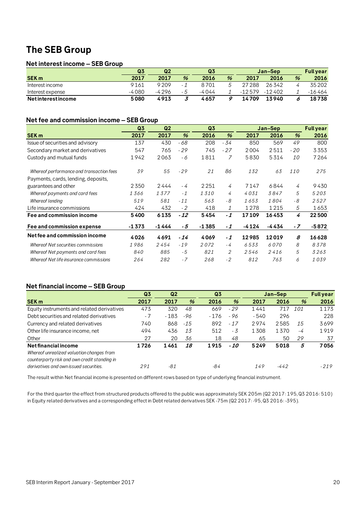## **The SEB Group**

## **Net interest income – SEB Group**

|                   | Q3    | Q <sub>2</sub> |      | Q <sub>3</sub> |   | Jan-Sep  |        |   | <b>Full vear</b> |
|-------------------|-------|----------------|------|----------------|---|----------|--------|---|------------------|
| <b>SEK m</b>      | 2017  | 2017           | %    | 2016           | % | 2017     | 2016   | % | 2016             |
| Interest income   | 9161  | 9209           | $-1$ | 8701           |   | 27288    | 26342  |   | 35202            |
| Interest expense  | -4080 | -4296          | - 5  | -4044          |   | $-12579$ | -12402 |   | $-16464$         |
| Netinterestincome | 5080  | 4913           |      | 4657           |   | 14709    | 13940  |   | 18738            |

## **Net fee and commission income – SEB Group**

|                                          | Q <sub>3</sub> | Q <sub>2</sub> | Q <sub>3</sub><br>Jan-Sep |         |       |       |       | <b>Full year</b> |         |
|------------------------------------------|----------------|----------------|---------------------------|---------|-------|-------|-------|------------------|---------|
| <b>SEK m</b>                             | 2017           | 2017           | %                         | 2016    | %     | 2017  | 2016  | $\frac{9}{6}$    | 2016    |
| Issue of securities and advisory         | 137            | 430            | - 68                      | 208     | - 34  | 850   | 569   | 49               | 800     |
| Secondary market and derivatives         | 547            | 765            | $-29$                     | 745     | $-27$ | 2004  | 2511  | $-20$            | 3353    |
| Custody and mutual funds                 | 1942           | 2063           | - 6                       | 1811    | 7     | 5830  | 5314  | 10               | 7264    |
| Whereof performance and transaction fees | 39             | 55             | $-29$                     | 21      | 86    | 132   | 63    | 110              | 275     |
| Payments, cards, lending, deposits,      |                |                |                           |         |       |       |       |                  |         |
| guarantees and other                     | 2350           | 2444           | - 4                       | 2251    | 4     | 7147  | 6844  | 4                | 9430    |
| Whereof payments and card fees           | 1366           | 1377           | $-1$                      | 1310    | 4     | 4031  | 3847  | 5                | 5203    |
| Whereof lending                          | 519            | 581            | $-11$                     | 563     | - 8   | 1653  | 1804  | - 8              | 2527    |
| Life insurance commissions               | 424            | 432            | $-2$                      | 418     | 1     | 1278  | 1215  | 5                | 1653    |
| Fee and commission income                | 5400           | 6135           | $-12$                     | 5454    | $-1$  | 17109 | 16453 | 4                | 22500   |
| Fee and commission expense               | $-1373$        | $-1444$        | - 5                       | $-1385$ | $-1$  | -4124 | -4434 | $-7$             | $-5872$ |
| Net fee and commission income            | 4026           | 4691           | $-14$                     | 4069    | $-1$  | 12985 | 12019 | 8                | 16628   |
| Whereof Net securities commissions       | 1986           | 2454           | $-19$                     | 2072    | - 4   | 6533  | 6070  | 8                | 8378    |
| Whereof Net payments and card fees       | 840            | 885            | $-5$                      | 821     | 2     | 2546  | 2416  | 5                | 3263    |
| Whereof Net life insurance commissions   | 264            | 282            | $-7$                      | 268     | $-2$  | 812   | 763   | 6                | 1039    |

## **Net financial income – SEB Group**

|                                              | Q <sub>3</sub> | Q <sub>2</sub> |       | Q <sub>3</sub> |       | Jan-Sep |        |      | <b>Full year</b> |
|----------------------------------------------|----------------|----------------|-------|----------------|-------|---------|--------|------|------------------|
| <b>SEK m</b>                                 | 2017           | 2017           | $\%$  | 2016           | %     | 2017    | 2016   | $\%$ | 2016             |
| Equity instruments and related derivatives   | 473            | 320            | 48    | 669            | $-29$ | 1441    | 717    | 101  | 1173             |
| Debt securities and related derivatives      | $-7$           | $-183$         | -96   | - 176          | - 96  | - 540   | 296    |      | 228              |
| Currency and related derivatives             | 740            | 868            | $-15$ | 892            | $-17$ | 2974    | 2585   | 15   | 3699             |
| Other life insurance income, net             | 494            | 436            | 13    | 512            | - 3   | 1308    | 1370   | -4   | 1919             |
| Other                                        | 27             | 20             | 36    | 18             | 48    | 65      | 50     | 29   | 37               |
| Net financial income                         | 1726           | 1461           | 18    | 1915           | $-10$ | 5249    | 5018   | 5    | 7056             |
| Whereof unrealized valuation changes from    |                |                |       |                |       |         |        |      |                  |
| counterparty risk and own credit standing in |                |                |       |                |       |         |        |      |                  |
| derivatives and own issued securities.       | 291            | -81            |       | -84            |       | 149     | $-442$ |      | $-219$           |

The result within Net financial income is presented on different rows based on type of underlying financial instrument.

For the third quarter the effect from structured products offered to the public was approximately SEK 205m (Q2 2017: 195, Q3 2016: 510) in Equity related derivatives and a corresponding effect in Debt related derivatives SEK -75m (Q2 2017: -95, Q3 2016: -395).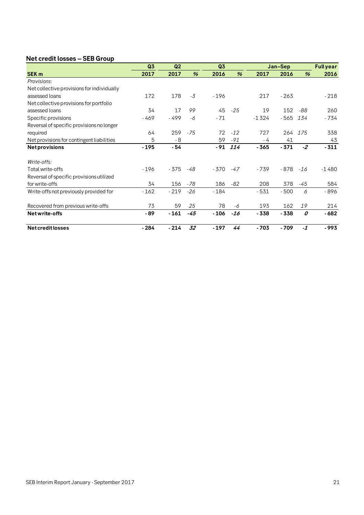## **Net credit losses – SEB Group**

|                                            | Q3     | Q <sub>2</sub> |       | Q3     |       |         | Jan-Sep |       | <b>Full year</b> |
|--------------------------------------------|--------|----------------|-------|--------|-------|---------|---------|-------|------------------|
| <b>SEK m</b>                               | 2017   | 2017           | %     | 2016   | %     | 2017    | 2016    | $\%$  | 2016             |
| Provisions:                                |        |                |       |        |       |         |         |       |                  |
| Net collective provisions for individually |        |                |       |        |       |         |         |       |                  |
| assessed loans                             | 172    | 178            | $-3$  | $-196$ |       | 217     | $-263$  |       | $-218$           |
| Net collective provisions for portfolio    |        |                |       |        |       |         |         |       |                  |
| assessed loans                             | 34     | 17             | 99    | 45     | $-25$ | 19      | 152     | -88   | 260              |
| Specific provisions                        | $-469$ | $-499$         | -6    | $-71$  |       | $-1324$ | $-565$  | 134   | $-734$           |
| Reversal of specific provisions no longer  |        |                |       |        |       |         |         |       |                  |
| required                                   | 64     | 259            | $-75$ | 72     | $-12$ | 727     | 264     | 175   | 338              |
| Net provisions for contingent liabilities  | 5      | - 8            |       | 59     | $-91$ | - 4     | 41      |       | 43               |
| <b>Netprovisions</b>                       | $-195$ | - 54           |       | - 91   | 114   | $-365$  | $-371$  | $-2$  | $-311$           |
| Write-offs:                                |        |                |       |        |       |         |         |       |                  |
| Total write-offs                           | $-196$ | $-375$         | -48   | - 370  | $-47$ | - 739   | $-878$  | $-16$ | $-1480$          |
| Reversal of specific provisions utilized   |        |                |       |        |       |         |         |       |                  |
| for write-offs                             | 34     | 156            | -78   | 186    | -82   | 208     | 378     | -45   | 584              |
| Write-offs not previously provided for     | $-162$ | $-219$         | $-26$ | $-184$ |       | $-531$  | $-500$  | 6     | $-896$           |
| Recovered from previous write-offs         | 73     | 59             | 25    | 78     | -6    | 193     | 162     | 19    | 214              |
| Net write-offs                             | $-89$  | $-161$         | $-45$ | - 106  | -16   | $-338$  | $-338$  | 0     | $-682$           |
| <b>Netcreditlosses</b>                     | $-284$ | $-214$         | 32    | $-197$ | 44    | $-703$  | $-709$  | $-1$  | $-993$           |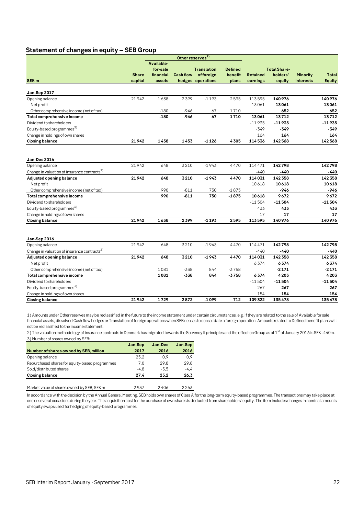## **Statement of changes in equity – SEB Group**

| Available-<br><b>Total Share-</b><br>for-sale<br><b>Translation</b><br><b>Defined</b><br>holders'<br><b>Share</b><br>financial<br><b>Cash flow</b><br>of foreign<br>benefit<br><b>Retained</b><br><b>Minority</b><br><b>Total</b><br><b>SEK m</b><br>capital<br>hedges operations<br>plans<br><b>interests</b><br><b>Equity</b><br>assets<br>earnings<br>equity<br>Jan-Sep 2017<br>21942<br>1638<br>2399<br>$-1193$<br>2595<br>140976<br>113595<br>140976<br>Opening balance<br>13061<br>13061<br>13061<br>Netprofit<br>652<br>$-180$<br>$-946$<br>1710<br>Other comprehensive income (net of tax)<br>67<br>652<br>67<br>$-946$<br>1710<br>13712<br>13712<br>$-180$<br>13061<br>Total comprehensive income<br>Dividend to shareholders<br>$-11935$<br>$-11935$<br>$-11935$<br>Equity-based programmes <sup>3)</sup><br>$-349$<br>-349<br>$-349$<br>Change in holdings of own shares<br>164<br>164<br>164<br>21942<br>1458<br>1453<br>142568<br>142568<br>$-1126$<br>4305<br>114536<br><b>Closing balance</b><br>Jan-Dec 2016<br>3210<br>$-1943$<br>4470<br>114471<br>21942<br>648<br>142798<br>142798<br>Opening balance<br>Change in valuation of insurance contracts <sup>2)</sup><br>$-440$<br>-440<br>-440<br>648<br>142358<br>21942<br>3210<br>$-1943$<br>4470<br>114031<br>142358<br><b>Adjusted opening balance</b><br>10618<br>10618<br>10618<br>Net profit<br>990<br>$-811$<br>750<br>$-1875$<br>$-946$<br>-946<br>Other comprehensive income (net of tax)<br>990<br>$-811$<br>750<br>$-1875$<br>10618<br>9672<br>9672<br>Total comprehensive income<br>$-11504$<br>$-11504$<br>Dividend to shareholders<br>-11504<br>Equity-based programmes <sup>3)</sup><br>433<br>433<br>433<br>Change in holdings of own shares<br>17<br>17<br>17<br>21942<br>1638<br>$-1193$<br>140976<br>140976<br>2399<br>2595<br>113595<br><b>Closing balance</b><br>Jan-Sep 2016<br>4470<br>21942<br>648<br>3210<br>114471<br>142798<br>142798<br>$-1943$<br>Opening balance<br>Change in valuation of insurance contracts <sup>2)</sup><br>$-440$<br>$-440$<br>-440<br>3210<br>114031<br>142358<br>Adjusted opening balance<br>21942<br>648<br>$-1943$<br>4470<br>142358<br>6374<br>6374<br>6374<br>Net profit<br>1081<br>$-338$<br>844<br>$-3758$<br>$-2171$<br>$-2171$<br>Other comprehensive income (net of tax)<br>844<br>$-3758$<br>4203<br>Total comprehensive income<br>1081<br>-338<br>6374<br>4203<br>Dividend to shareholders<br>$-11504$<br>$-11504$<br>$-11504$<br>Equity-based programmes <sup>3)</sup><br>267<br>267<br>267<br>Change in holdings of own shares<br>154<br>154<br>154<br>21942<br>1729<br>2872<br>$-1099$<br>712<br>109 322<br>135478<br>135478<br><b>Closing balance</b> |  | Other reserves <sup>1)</sup> |  |  |  |
|--------------------------------------------------------------------------------------------------------------------------------------------------------------------------------------------------------------------------------------------------------------------------------------------------------------------------------------------------------------------------------------------------------------------------------------------------------------------------------------------------------------------------------------------------------------------------------------------------------------------------------------------------------------------------------------------------------------------------------------------------------------------------------------------------------------------------------------------------------------------------------------------------------------------------------------------------------------------------------------------------------------------------------------------------------------------------------------------------------------------------------------------------------------------------------------------------------------------------------------------------------------------------------------------------------------------------------------------------------------------------------------------------------------------------------------------------------------------------------------------------------------------------------------------------------------------------------------------------------------------------------------------------------------------------------------------------------------------------------------------------------------------------------------------------------------------------------------------------------------------------------------------------------------------------------------------------------------------------------------------------------------------------------------------------------------------------------------------------------------------------------------------------------------------------------------------------------------------------------------------------------------------------------------------------------------------------------------------------------------------------------------------------------------------------------------------------------------------------------------------------------------------------------------------------------------------------------------------------------------------------------------------------------------------------------------------|--|------------------------------|--|--|--|
|                                                                                                                                                                                                                                                                                                                                                                                                                                                                                                                                                                                                                                                                                                                                                                                                                                                                                                                                                                                                                                                                                                                                                                                                                                                                                                                                                                                                                                                                                                                                                                                                                                                                                                                                                                                                                                                                                                                                                                                                                                                                                                                                                                                                                                                                                                                                                                                                                                                                                                                                                                                                                                                                                            |  |                              |  |  |  |
|                                                                                                                                                                                                                                                                                                                                                                                                                                                                                                                                                                                                                                                                                                                                                                                                                                                                                                                                                                                                                                                                                                                                                                                                                                                                                                                                                                                                                                                                                                                                                                                                                                                                                                                                                                                                                                                                                                                                                                                                                                                                                                                                                                                                                                                                                                                                                                                                                                                                                                                                                                                                                                                                                            |  |                              |  |  |  |
|                                                                                                                                                                                                                                                                                                                                                                                                                                                                                                                                                                                                                                                                                                                                                                                                                                                                                                                                                                                                                                                                                                                                                                                                                                                                                                                                                                                                                                                                                                                                                                                                                                                                                                                                                                                                                                                                                                                                                                                                                                                                                                                                                                                                                                                                                                                                                                                                                                                                                                                                                                                                                                                                                            |  |                              |  |  |  |
|                                                                                                                                                                                                                                                                                                                                                                                                                                                                                                                                                                                                                                                                                                                                                                                                                                                                                                                                                                                                                                                                                                                                                                                                                                                                                                                                                                                                                                                                                                                                                                                                                                                                                                                                                                                                                                                                                                                                                                                                                                                                                                                                                                                                                                                                                                                                                                                                                                                                                                                                                                                                                                                                                            |  |                              |  |  |  |
|                                                                                                                                                                                                                                                                                                                                                                                                                                                                                                                                                                                                                                                                                                                                                                                                                                                                                                                                                                                                                                                                                                                                                                                                                                                                                                                                                                                                                                                                                                                                                                                                                                                                                                                                                                                                                                                                                                                                                                                                                                                                                                                                                                                                                                                                                                                                                                                                                                                                                                                                                                                                                                                                                            |  |                              |  |  |  |
|                                                                                                                                                                                                                                                                                                                                                                                                                                                                                                                                                                                                                                                                                                                                                                                                                                                                                                                                                                                                                                                                                                                                                                                                                                                                                                                                                                                                                                                                                                                                                                                                                                                                                                                                                                                                                                                                                                                                                                                                                                                                                                                                                                                                                                                                                                                                                                                                                                                                                                                                                                                                                                                                                            |  |                              |  |  |  |
|                                                                                                                                                                                                                                                                                                                                                                                                                                                                                                                                                                                                                                                                                                                                                                                                                                                                                                                                                                                                                                                                                                                                                                                                                                                                                                                                                                                                                                                                                                                                                                                                                                                                                                                                                                                                                                                                                                                                                                                                                                                                                                                                                                                                                                                                                                                                                                                                                                                                                                                                                                                                                                                                                            |  |                              |  |  |  |
|                                                                                                                                                                                                                                                                                                                                                                                                                                                                                                                                                                                                                                                                                                                                                                                                                                                                                                                                                                                                                                                                                                                                                                                                                                                                                                                                                                                                                                                                                                                                                                                                                                                                                                                                                                                                                                                                                                                                                                                                                                                                                                                                                                                                                                                                                                                                                                                                                                                                                                                                                                                                                                                                                            |  |                              |  |  |  |
|                                                                                                                                                                                                                                                                                                                                                                                                                                                                                                                                                                                                                                                                                                                                                                                                                                                                                                                                                                                                                                                                                                                                                                                                                                                                                                                                                                                                                                                                                                                                                                                                                                                                                                                                                                                                                                                                                                                                                                                                                                                                                                                                                                                                                                                                                                                                                                                                                                                                                                                                                                                                                                                                                            |  |                              |  |  |  |
|                                                                                                                                                                                                                                                                                                                                                                                                                                                                                                                                                                                                                                                                                                                                                                                                                                                                                                                                                                                                                                                                                                                                                                                                                                                                                                                                                                                                                                                                                                                                                                                                                                                                                                                                                                                                                                                                                                                                                                                                                                                                                                                                                                                                                                                                                                                                                                                                                                                                                                                                                                                                                                                                                            |  |                              |  |  |  |
|                                                                                                                                                                                                                                                                                                                                                                                                                                                                                                                                                                                                                                                                                                                                                                                                                                                                                                                                                                                                                                                                                                                                                                                                                                                                                                                                                                                                                                                                                                                                                                                                                                                                                                                                                                                                                                                                                                                                                                                                                                                                                                                                                                                                                                                                                                                                                                                                                                                                                                                                                                                                                                                                                            |  |                              |  |  |  |
|                                                                                                                                                                                                                                                                                                                                                                                                                                                                                                                                                                                                                                                                                                                                                                                                                                                                                                                                                                                                                                                                                                                                                                                                                                                                                                                                                                                                                                                                                                                                                                                                                                                                                                                                                                                                                                                                                                                                                                                                                                                                                                                                                                                                                                                                                                                                                                                                                                                                                                                                                                                                                                                                                            |  |                              |  |  |  |
|                                                                                                                                                                                                                                                                                                                                                                                                                                                                                                                                                                                                                                                                                                                                                                                                                                                                                                                                                                                                                                                                                                                                                                                                                                                                                                                                                                                                                                                                                                                                                                                                                                                                                                                                                                                                                                                                                                                                                                                                                                                                                                                                                                                                                                                                                                                                                                                                                                                                                                                                                                                                                                                                                            |  |                              |  |  |  |
|                                                                                                                                                                                                                                                                                                                                                                                                                                                                                                                                                                                                                                                                                                                                                                                                                                                                                                                                                                                                                                                                                                                                                                                                                                                                                                                                                                                                                                                                                                                                                                                                                                                                                                                                                                                                                                                                                                                                                                                                                                                                                                                                                                                                                                                                                                                                                                                                                                                                                                                                                                                                                                                                                            |  |                              |  |  |  |
|                                                                                                                                                                                                                                                                                                                                                                                                                                                                                                                                                                                                                                                                                                                                                                                                                                                                                                                                                                                                                                                                                                                                                                                                                                                                                                                                                                                                                                                                                                                                                                                                                                                                                                                                                                                                                                                                                                                                                                                                                                                                                                                                                                                                                                                                                                                                                                                                                                                                                                                                                                                                                                                                                            |  |                              |  |  |  |
|                                                                                                                                                                                                                                                                                                                                                                                                                                                                                                                                                                                                                                                                                                                                                                                                                                                                                                                                                                                                                                                                                                                                                                                                                                                                                                                                                                                                                                                                                                                                                                                                                                                                                                                                                                                                                                                                                                                                                                                                                                                                                                                                                                                                                                                                                                                                                                                                                                                                                                                                                                                                                                                                                            |  |                              |  |  |  |
|                                                                                                                                                                                                                                                                                                                                                                                                                                                                                                                                                                                                                                                                                                                                                                                                                                                                                                                                                                                                                                                                                                                                                                                                                                                                                                                                                                                                                                                                                                                                                                                                                                                                                                                                                                                                                                                                                                                                                                                                                                                                                                                                                                                                                                                                                                                                                                                                                                                                                                                                                                                                                                                                                            |  |                              |  |  |  |
|                                                                                                                                                                                                                                                                                                                                                                                                                                                                                                                                                                                                                                                                                                                                                                                                                                                                                                                                                                                                                                                                                                                                                                                                                                                                                                                                                                                                                                                                                                                                                                                                                                                                                                                                                                                                                                                                                                                                                                                                                                                                                                                                                                                                                                                                                                                                                                                                                                                                                                                                                                                                                                                                                            |  |                              |  |  |  |
|                                                                                                                                                                                                                                                                                                                                                                                                                                                                                                                                                                                                                                                                                                                                                                                                                                                                                                                                                                                                                                                                                                                                                                                                                                                                                                                                                                                                                                                                                                                                                                                                                                                                                                                                                                                                                                                                                                                                                                                                                                                                                                                                                                                                                                                                                                                                                                                                                                                                                                                                                                                                                                                                                            |  |                              |  |  |  |
|                                                                                                                                                                                                                                                                                                                                                                                                                                                                                                                                                                                                                                                                                                                                                                                                                                                                                                                                                                                                                                                                                                                                                                                                                                                                                                                                                                                                                                                                                                                                                                                                                                                                                                                                                                                                                                                                                                                                                                                                                                                                                                                                                                                                                                                                                                                                                                                                                                                                                                                                                                                                                                                                                            |  |                              |  |  |  |
|                                                                                                                                                                                                                                                                                                                                                                                                                                                                                                                                                                                                                                                                                                                                                                                                                                                                                                                                                                                                                                                                                                                                                                                                                                                                                                                                                                                                                                                                                                                                                                                                                                                                                                                                                                                                                                                                                                                                                                                                                                                                                                                                                                                                                                                                                                                                                                                                                                                                                                                                                                                                                                                                                            |  |                              |  |  |  |
|                                                                                                                                                                                                                                                                                                                                                                                                                                                                                                                                                                                                                                                                                                                                                                                                                                                                                                                                                                                                                                                                                                                                                                                                                                                                                                                                                                                                                                                                                                                                                                                                                                                                                                                                                                                                                                                                                                                                                                                                                                                                                                                                                                                                                                                                                                                                                                                                                                                                                                                                                                                                                                                                                            |  |                              |  |  |  |
|                                                                                                                                                                                                                                                                                                                                                                                                                                                                                                                                                                                                                                                                                                                                                                                                                                                                                                                                                                                                                                                                                                                                                                                                                                                                                                                                                                                                                                                                                                                                                                                                                                                                                                                                                                                                                                                                                                                                                                                                                                                                                                                                                                                                                                                                                                                                                                                                                                                                                                                                                                                                                                                                                            |  |                              |  |  |  |
|                                                                                                                                                                                                                                                                                                                                                                                                                                                                                                                                                                                                                                                                                                                                                                                                                                                                                                                                                                                                                                                                                                                                                                                                                                                                                                                                                                                                                                                                                                                                                                                                                                                                                                                                                                                                                                                                                                                                                                                                                                                                                                                                                                                                                                                                                                                                                                                                                                                                                                                                                                                                                                                                                            |  |                              |  |  |  |
|                                                                                                                                                                                                                                                                                                                                                                                                                                                                                                                                                                                                                                                                                                                                                                                                                                                                                                                                                                                                                                                                                                                                                                                                                                                                                                                                                                                                                                                                                                                                                                                                                                                                                                                                                                                                                                                                                                                                                                                                                                                                                                                                                                                                                                                                                                                                                                                                                                                                                                                                                                                                                                                                                            |  |                              |  |  |  |
|                                                                                                                                                                                                                                                                                                                                                                                                                                                                                                                                                                                                                                                                                                                                                                                                                                                                                                                                                                                                                                                                                                                                                                                                                                                                                                                                                                                                                                                                                                                                                                                                                                                                                                                                                                                                                                                                                                                                                                                                                                                                                                                                                                                                                                                                                                                                                                                                                                                                                                                                                                                                                                                                                            |  |                              |  |  |  |
|                                                                                                                                                                                                                                                                                                                                                                                                                                                                                                                                                                                                                                                                                                                                                                                                                                                                                                                                                                                                                                                                                                                                                                                                                                                                                                                                                                                                                                                                                                                                                                                                                                                                                                                                                                                                                                                                                                                                                                                                                                                                                                                                                                                                                                                                                                                                                                                                                                                                                                                                                                                                                                                                                            |  |                              |  |  |  |
|                                                                                                                                                                                                                                                                                                                                                                                                                                                                                                                                                                                                                                                                                                                                                                                                                                                                                                                                                                                                                                                                                                                                                                                                                                                                                                                                                                                                                                                                                                                                                                                                                                                                                                                                                                                                                                                                                                                                                                                                                                                                                                                                                                                                                                                                                                                                                                                                                                                                                                                                                                                                                                                                                            |  |                              |  |  |  |
|                                                                                                                                                                                                                                                                                                                                                                                                                                                                                                                                                                                                                                                                                                                                                                                                                                                                                                                                                                                                                                                                                                                                                                                                                                                                                                                                                                                                                                                                                                                                                                                                                                                                                                                                                                                                                                                                                                                                                                                                                                                                                                                                                                                                                                                                                                                                                                                                                                                                                                                                                                                                                                                                                            |  |                              |  |  |  |
|                                                                                                                                                                                                                                                                                                                                                                                                                                                                                                                                                                                                                                                                                                                                                                                                                                                                                                                                                                                                                                                                                                                                                                                                                                                                                                                                                                                                                                                                                                                                                                                                                                                                                                                                                                                                                                                                                                                                                                                                                                                                                                                                                                                                                                                                                                                                                                                                                                                                                                                                                                                                                                                                                            |  |                              |  |  |  |
|                                                                                                                                                                                                                                                                                                                                                                                                                                                                                                                                                                                                                                                                                                                                                                                                                                                                                                                                                                                                                                                                                                                                                                                                                                                                                                                                                                                                                                                                                                                                                                                                                                                                                                                                                                                                                                                                                                                                                                                                                                                                                                                                                                                                                                                                                                                                                                                                                                                                                                                                                                                                                                                                                            |  |                              |  |  |  |
|                                                                                                                                                                                                                                                                                                                                                                                                                                                                                                                                                                                                                                                                                                                                                                                                                                                                                                                                                                                                                                                                                                                                                                                                                                                                                                                                                                                                                                                                                                                                                                                                                                                                                                                                                                                                                                                                                                                                                                                                                                                                                                                                                                                                                                                                                                                                                                                                                                                                                                                                                                                                                                                                                            |  |                              |  |  |  |
|                                                                                                                                                                                                                                                                                                                                                                                                                                                                                                                                                                                                                                                                                                                                                                                                                                                                                                                                                                                                                                                                                                                                                                                                                                                                                                                                                                                                                                                                                                                                                                                                                                                                                                                                                                                                                                                                                                                                                                                                                                                                                                                                                                                                                                                                                                                                                                                                                                                                                                                                                                                                                                                                                            |  |                              |  |  |  |
|                                                                                                                                                                                                                                                                                                                                                                                                                                                                                                                                                                                                                                                                                                                                                                                                                                                                                                                                                                                                                                                                                                                                                                                                                                                                                                                                                                                                                                                                                                                                                                                                                                                                                                                                                                                                                                                                                                                                                                                                                                                                                                                                                                                                                                                                                                                                                                                                                                                                                                                                                                                                                                                                                            |  |                              |  |  |  |
|                                                                                                                                                                                                                                                                                                                                                                                                                                                                                                                                                                                                                                                                                                                                                                                                                                                                                                                                                                                                                                                                                                                                                                                                                                                                                                                                                                                                                                                                                                                                                                                                                                                                                                                                                                                                                                                                                                                                                                                                                                                                                                                                                                                                                                                                                                                                                                                                                                                                                                                                                                                                                                                                                            |  |                              |  |  |  |
|                                                                                                                                                                                                                                                                                                                                                                                                                                                                                                                                                                                                                                                                                                                                                                                                                                                                                                                                                                                                                                                                                                                                                                                                                                                                                                                                                                                                                                                                                                                                                                                                                                                                                                                                                                                                                                                                                                                                                                                                                                                                                                                                                                                                                                                                                                                                                                                                                                                                                                                                                                                                                                                                                            |  |                              |  |  |  |

1) Amounts under Other reserves may be reclassified in the future to the income statement under certain circumstances, e.g. if they are related to the sale of Available for sale financial assets, dissolved Cash flow hedges or Translation of foreign operations when SEB ceases to consolidate a foreign operation. Amounts related to Defined benefit plans will not be reclassified to the income statement.

2) The valuation methodology of insurance contracts in Denmark has migrated towards the Solvency II principles and the effect on Group as of 1<sup>st</sup> of January 2016 is SEK -440m. 3) Number of shares owned by SEB:

|                                                | Jan-Sep | Jan-Dec | Jan-Sep |
|------------------------------------------------|---------|---------|---------|
| Number of shares owned by SEB, million         | 2017    | 2016    | 2016    |
| Opening balance                                | 25.2    | 0.9     | 0,9     |
| Repurchased shares for equity-based programmes | 7.0     | 29.8    | 29.8    |
| Sold/distributed shares                        | -4.8    | $-5.5$  | $-4,4$  |
| <b>Closing balance</b>                         | 27.4    | 25.2    | 26,3    |
|                                                |         |         |         |

Market value of shares owned by SEB, SEK m 2937 2406 2263

In accordance with the decision by the Annual General Meeting, SEB holds own shares of Class A for the long-term equity-based programmes. The transactions may take place at one or several occasions during the year. The acquisition cost for the purchase of own shares is deducted from shareholders' equity. The item includes changes in nominal amounts of equity swaps used for hedging of equity-based programmes.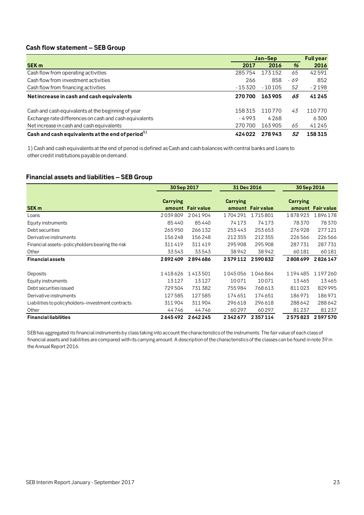## **Cash flow statement – SEB Group**

|                                                        | Jan-Sep |          |      | <b>Full year</b> |
|--------------------------------------------------------|---------|----------|------|------------------|
| <b>SEK m</b>                                           | 2017    | 2016     | $\%$ | 2016             |
| Cash flow from operating activities                    | 285754  | 173152   | 65   | 42591            |
| Cash flow from investment activities                   | 266     | 858      | - 69 | 852              |
| Cash flow from financing activities                    | - 15320 | $-10105$ | 52   | $-2198$          |
| Net increase in cash and cash equivalents              | 270700  | 163905   | 65   | 41245            |
| Cash and cash equivalents at the beginning of year     | 158315  | 110770   | 43   | 110770           |
| Exchange rate differences on cash and cash equivalents | $-4993$ | 4268     |      | 6300             |
| Net increase in cash and cash equivalents              | 270700  | 163905   | 65   | 41245            |
| Cash and cash equivalents at the end of period $^{1)}$ | 424022  | 278943   | 52   | 158315           |

1) Cash and cash equivalents at the end of period is defined as Cash and cash balances with central banks and Loans to other credit institutions payable on demand.

## **Financial assets and liabilities – SEB Group**

|                                                   | 30 Sep 2017     |                   | 31 Dec 2016 |                   | 30 Sep 2016        |                   |
|---------------------------------------------------|-----------------|-------------------|-------------|-------------------|--------------------|-------------------|
| SEK <sub>m</sub>                                  | <b>Carrying</b> | amount Fair value | Carrying    | amount Fair value | Carrying<br>amount | <b>Fair value</b> |
| Loans                                             | 2039809         | 2041904           | 1704291     | 1715801           | 1878923            | 1896178           |
| Equity instruments                                | 85440           | 85440             | 74173       | 74173             | 78370              | 78370             |
| Debt securities                                   | 265950          | 266132            | 253443      | 253653            | 276928             | 277121            |
| Derivative instruments                            | 156248          | 156248            | 212355      | 212 355           | 226566             | 226566            |
| Financial assets-policyholders bearing the risk   | 311419          | 311419            | 295908      | 295908            | 287731             | 287731            |
| Other                                             | 33543           | 33543             | 38942       | 38942             | 60181              | 60181             |
| <b>Financial assets</b>                           | 2892409         | 2894686           | 2579112     | 2590832           | 2808699            | 2826147           |
|                                                   |                 |                   |             |                   |                    |                   |
| Deposits                                          | 1418626         | 1413501           | 1045056     | 1046864           | 1194485            | 1197260           |
| Equity instruments                                | 13127           | 13127             | 10071       | 10071             | 13465              | 13465             |
| Debt securities issued                            | 729504          | 731382            | 755984      | 768613            | 811023             | 829995            |
| Derivative instruments                            | 127585          | 127585            | 174651      | 174651            | 186971             | 186971            |
| Liabilities to policyholders-investment contracts | 311904          | 311904            | 296618      | 296618            | 288642             | 288642            |
| Other                                             | 44746           | 44746             | 60297       | 60297             | 81237              | 81237             |
| <b>Financial liabilities</b>                      | 2645492         | 2642245           | 2342677     | 2357114           | 2575823            | 2597570           |

SEB has aggregated its financial instruments by class taking into account the characteristics of the instruments. The fair value of each class of financial assets and liabilities are compared with its carrying amount. A description of the characteristics of the classes can be found in note 39 in the Annual Report 2016.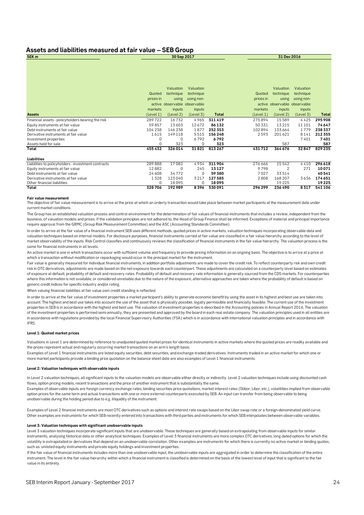#### **Assets and liabilities measured at fair value – SEB Group SEK m 30 Sep 2017**

|                                                     |              | Valuation                    | Valuation  |         |           | Valuation                    | Valuation  |              |
|-----------------------------------------------------|--------------|------------------------------|------------|---------|-----------|------------------------------|------------|--------------|
|                                                     | Quoted       |                              |            |         | Quoted    |                              |            |              |
|                                                     |              | technique                    | technique  |         |           | technique                    | technique  |              |
|                                                     | prices in    | using                        | using non- |         | prices in | using                        | using non- |              |
|                                                     |              | active observable observable |            |         |           | active observable observable |            |              |
|                                                     | markets      | inputs                       | inputs     |         | markets   | inputs                       | inputs     |              |
| <b>Assets</b>                                       | (Level 1)    | (Level 2)                    | (Level 3)  | Total   | (Level 1) | (Level 2)                    | (Level 3)  | <b>Total</b> |
| Financial assets - policyholders bearing the risk   | 289722       | 16732                        | 4965       | 311419  | 275894    | 15589                        | 4425       | 295 908      |
| Equity instruments at fair value                    | 59857        | 13603                        | 12672      | 86132   | 50 331    | 13215                        | 11 10 1    | 74647        |
| Debt instruments at fair value                      | 104 238      | 146 238                      | 1877       | 252 353 | 102894    | 133664                       | 1779       | 238337       |
| Derivative instruments at fair value                | 1615         | 149 118                      | 5515       | 156248  | 2593      | 201621                       | 8141       | 212 355      |
| Investment properties                               | $\Omega$     | $\Omega$                     | 6792       | 6792    |           |                              | 7401       | 7401         |
| Assets held for sale                                | <sup>0</sup> | 323                          | $\Omega$   | 323     |           | 587                          |            | 587          |
| Total                                               | 455 432      | 326014                       | 31821      | 813267  | 431712    | 364676                       | 32847      | 829235       |
| Liabilities                                         |              |                              |            |         |           |                              |            |              |
| Liabilities to policyholders - investment contracts | 289888       | 17082                        | 4934       | 311904  | 276 666   | 15542                        | 4410       | 296 618      |
| Equity instruments at fair value                    | 12882        | $\Omega$                     | 245        | 13127   | 9798      | $\mathfrak{D}$               | 271        | 10071        |
| Debt instruments at fair value                      | 24 608       | 34772                        | $\Omega$   | 59380   | 7027      | 33514                        |            | 40541        |
| Derivative instruments at fair value                | 1328         | 123040                       | 3 2 1 7    | 127585  | 2808      | 168 207                      | 3636       | 174651       |
| Other financial liabilities                         | $\Omega$     | 18095                        | $\Omega$   | 18095   |           | 19225                        |            | 19225        |
| Total                                               | 328706       | 192989                       | 8396       | 530091  | 296299    | 236490                       | 8317       | 541106       |

**31 Dec 2016**

#### **Fair value measurement**

The objective of fair value measurement is to arrive at the price at which an orderly transaction would take place between market participants at the measurement date under current market conditions.

The Group has an established valuation process and control environment for the determination of fair values of financial instruments that includes a review, independent from the business, of valuation models and prices. If the validation principles are not adhered to, the Head of Group Finance shall be informed. Exceptions of material and principal importance require approval from the GRMC (Group Risk Measurement Committee) and the ASC (Accounting Standards Committee).

In order to arrive at the fair value of a financial instrument SEB uses different methods; quoted prices in active markets, valuation techniques incorporating observable data and valuation techniques based on internal models. For disclosure purposes, financial instruments carried at fair value are classified in a fair value hierarchy according to the level of market observability of the inputs. Risk Control classifies and continuously reviews the classification of financial instruments in the fair value hierarchy. The valuation process is the same for financial instruments in all levels.

An active market is one in which transactions occur with sufficient volume and frequency to provide pricing information on an ongoing basis. The objective is to arrive at a price at which a transaction without modification or repackaging would occur in the principal market for the instrument.

Fair value is generally measured for individual financial instruments, in addition portfolio adjustments are made to cover the credit risk. To reflect counterparty risk and own credit risk in OTC derivatives, adjustments are made based on the net exposure towards each counterpart. These adjustments are calculated on a counterparty level based on estimates of exposure at default, probability of default and recovery rates. Probability of default and recovery rate information is generally sourced from the CDS markets. For counterparties where this information is not available, or considered unreliable due to the nature of the exposure, alternative approaches are taken where the probability of default is based on generic credit indices for specific industry and/or rating.

When valuing financial liabilities at fair value own credit standing is reflected.

In order to arrive at the fair value of investment properties a market participant's ability to generate economic benefit by using the asset in its highest and best use are taken into account. The highest and best use takes into account the use of the asset that is physically possible, legally permissible and financially feasible. The current use of the investment properties in SEB is in accordance with the highest and best use. The valuation of investment properties is described in the Accounting policies in Annual Report 2016. The valuation of the investment properties is performed semi-annually, they are presented and approved by the board in each real estate company. The valuation principles used in all entities are in accordance with regulations provided by the local Financial Supervisory Authorities (FSA) which is in accordance with international valuation principles and in accordance with IFRS.

#### **Level 1: Quoted market prices**

Valuations in Level 1 are determined by reference to unadjusted quoted market prices for identical instruments in active markets where the quoted prices are readily available and the prices represent actual and regularly occurring market transactions on an arm's length basis.

Examples of Level 1 financial instruments are listed equity securities, debt securities, and exchange-traded derivatives. Instruments traded in an active market for which one or more market participants provide a binding price quotation on the balance sheet date are also examples of Level 1 financial instruments.

#### **Level 2: Valuation techniques with observable inputs**

In Level 2 valuation techniques, all significant inputs to the valuation models are observable either directly or indirectly. Level 2 valuation techniques include using discounted cash flows, option pricing models, recent transactions and the price of another instrument that is substantially the same.

Examples of observable inputs are foreign currency exchange rates, binding securities price quotations, market interest rates (Stibor, Libor, etc.), volatilities implied from observable option prices for the same term and actual transactions with one or more external counterparts executed by SEB. An input can transfer from being observable to being unobservable during the holding period due to e.g. illiquidity of the instrument.

Examples of Level 2 financial instruments are most OTC derivatives such as options and interest rate swaps based on the Libor swap rate or a foreign-denominated yield curve. Other examples are instruments for which SEB recently entered into transactions with third parties and instruments for which SEB interpolates between observable variables.

#### **Level 3: Valuation techniques with significant unobservable inputs**

Level 3 valuation techniques incorporate significant inputs that are unobservable. These techniques are generally based on extrapolating from observable inputs for similar instruments, analysing historical data or other analytical techniques. Examples of Level 3 financial instruments are more complex OTC derivatives, long dated options for which the volatility is extrapolated or derivatives that depend on an unobservable correlation. Other examples are instruments for which there is currently no active market or binding quotes, such as unlisted equity instruments and private equity holdings and investment properties.

If the fair value of financial instruments includes more than one unobservable input, the unobservable inputs are aggregated in order to determine the classification of the entire instrument. The level in the fair value hierarchy within which a financial instrument is classified is determined on the basis of the lowest level of input that is significant to the fair value in its entirety.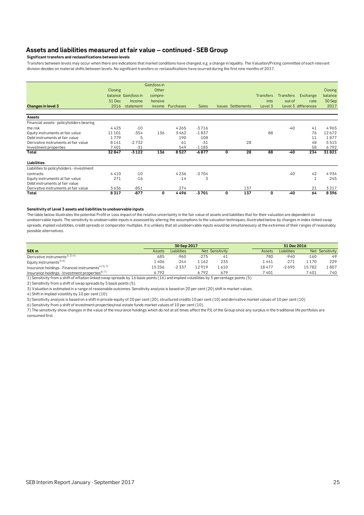## **Assets and liabilities measured at fair value – continued - SEB Group**

**Significant transfers and reclassifications between levels**

Transfers between levels may occur when there are indications that market conditions have changed, e.g. a change in liquidity. The Valuation/Pricing committee of each relevant division decides on material shifts between levels. No significant transfers or reclassifications have ocurred during the first nine months of 2017.

|                                           |         |                      | Gain/loss in |           |              |                           |     |                  |                  |                     |         |
|-------------------------------------------|---------|----------------------|--------------|-----------|--------------|---------------------------|-----|------------------|------------------|---------------------|---------|
|                                           | Closing |                      | Other        |           |              |                           |     |                  |                  |                     | Closing |
|                                           |         | balance Gain/loss in | compre-      |           |              |                           |     | <b>Transfers</b> | <b>Transfers</b> | Exchange            | balance |
|                                           | 31 Dec  | Income               | hensive      |           |              |                           |     | into             | out of           | rate                | 30 Sep  |
| Changes in level 3                        | 2016    | statement            | income       | Purchases | <b>Sales</b> | <b>Issues Settlements</b> |     | Level 3          |                  | Level 3 differences | 2017    |
| Assets                                    |         |                      |              |           |              |                           |     |                  |                  |                     |         |
| Financial assets - policyholders bearing  |         |                      |              |           |              |                           |     |                  |                  |                     |         |
| the risk                                  | 4425    | $-10$                |              | 4265      | $-3716$      |                           |     |                  | $-40$            | 41                  | 4965    |
| Equity instruments at fair value          | 11 10 1 | $-354$               | 136          | 3462      | $-1837$      |                           |     | 88               |                  | 76                  | 12672   |
| Debt instruments at fair value            | 1779    | 5                    |              | 190       | $-108$       |                           |     |                  |                  | 11                  | 1877    |
| Derivative instruments at fair value      | 8141    | $-2732$              |              | 61        | $-31$        |                           | 28  |                  |                  | 48                  | 5515    |
| Investment properties                     | 7401    | $-31$                |              | 549       | $-1185$      |                           |     |                  |                  | 58                  | 6792    |
| Total                                     | 32847   | $-3122$              | 136          | 8527      | $-6877$      | 0                         | 28  | 88               | $-40$            | 234                 | 31821   |
| Liabilities                               |         |                      |              |           |              |                           |     |                  |                  |                     |         |
| Liabilities to policyholders - investment |         |                      |              |           |              |                           |     |                  |                  |                     |         |
| contracts                                 | 4410    | $-10$                |              | 4236      | $-3704$      |                           |     |                  | $-40$            | 42                  | 4934    |
| Equity instruments at fair value          | 271     | $-16$                |              | $-14$     | 3            |                           |     |                  |                  | $\mathbf{1}$        | 245     |
| Debt instruments at fair value            |         |                      |              |           |              |                           |     |                  |                  |                     |         |
| Derivative instruments at fair value      | 3636    | $-851$               |              | 274       |              |                           | 137 |                  |                  | 21                  | 3217    |
| Total                                     | 8317    | $-877$               | 0            | 4496      | $-3701$      | 0                         | 137 | 0                | $-40$            | 64                  | 8396    |

#### **Sensitivity of Level 3 assets and liabilities to unobservable inputs**

The table below illustrates the potential Profit or Loss impact of the relative uncertainty in the fair value of assets and liabilities that for their valuation are dependent on unobservable inputs. The sensitivity to unobservable inputs is assessed by altering the assumptions to the valuation techniques, illustrated below by changes in index-linked swap spreads, implied volatilities, credit spreads or comparator multiples. It is unlikely that all unobservable inputs would be simultaneously at the extremes of their ranges of reasonably possible alternatives.

|                                                                | 30 Sep 2017   |                    |        |                 | 31 Dec 2016 |             |        |                 |
|----------------------------------------------------------------|---------------|--------------------|--------|-----------------|-------------|-------------|--------|-----------------|
| SEK <sub>m</sub>                                               | <b>Assets</b> | <b>Liabilities</b> |        | Net Sensitivity | Assets      | Liabilities |        | Net Sensitivity |
| Derivative instruments <sup>1) 2) 4)</sup>                     | 685           | $-960$             | $-275$ | 41              | 780         | $-940$      | $-160$ | 49              |
| Equity instruments <sup>3) 6)</sup>                            | . 406         | $-244$             | 1 162  | 233             | 1 441       | $-271$      | i 170  | 229             |
| Insurance holdings - Financial instruments <sup>4) 5) 7)</sup> | 15 2 5 6      | $-2.337$           | 12919  | 1 610           | 18477       | $-2695$     | 15782  | .807            |
| Insurance holdings - Investment properties <sup>6) 7)</sup>    | 6792          |                    | 6 792  | 679             | 7401        |             | 7 401  | 740             |

Insurance holdings - Investment properties6) 7) 1) Sensitivity from a shift of inflation linked swap spreads by 16 basis points (16) and implied volatilities by 5 percentage points (5).

2) Sensitivity from a shift of swap spreads by 5 basis points (5).

3) Valuation is estimated in a range of reasonable outcomes. Sensitivity analysis is based on 20 per cent (20) shift in market values.

4) Shift in implied volatility by 10 per cent (10).

5) Sensitivity analysis is based on a shift in private equity of 20 per cent (20), structured credits 10 per cent (10) and derivative market values of 10 per cent (10).

6) Sensitivity from a shift of investment properties/real estate funds market values of 10 per cent (10).

7) The sensitivity show changes in the value of the insurance holdings which do not at all times affect the P/L of the Group since any surplus in the traditional life portfolios are consumed first.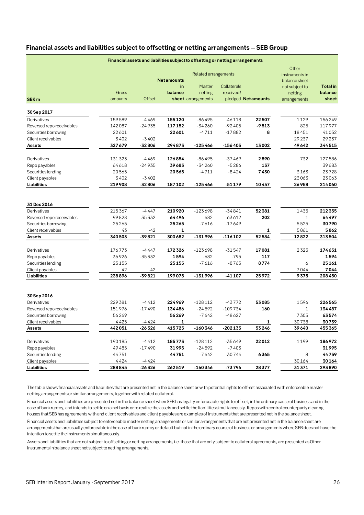## **Financial assets and liabilities subject to offsetting or netting arrangements – SEB Group**

|                           |                  |               |                   | <b>Related arrangements</b>   |             |                    | Other<br>instruments in |                  |
|---------------------------|------------------|---------------|-------------------|-------------------------------|-------------|--------------------|-------------------------|------------------|
|                           |                  |               | <b>Netamounts</b> |                               |             |                    | balance sheet           |                  |
|                           |                  |               | in                | Master                        | Collaterals |                    | not subject to          | <b>Total</b> in  |
|                           | Gross<br>amounts | <b>Offset</b> | balance           | netting<br>sheet arrangements | received/   | pledged Netamounts | netting                 | balance<br>sheet |
| SEK <sub>m</sub>          |                  |               |                   |                               |             |                    | arrangements            |                  |
| 30 Sep 2017               |                  |               |                   |                               |             |                    |                         |                  |
| Derivatives               | 159589           | $-4469$       | 155120            | $-86495$                      | $-46118$    | 22507              | 1129                    | 156249           |
| Reversed repo receivables | 142087           | $-24935$      | 117152            | $-34260$                      | $-92405$    | $-9513$            | 825                     | 117977           |
| Securities borrowing      | 22601            |               | 22601             | $-4711$                       | $-17882$    | 8                  | 18451                   | 41052            |
| Client receivables        | 3402             | $-3402$       |                   |                               |             |                    | 29237                   | 29237            |
| Assets                    | 327679           | -32806        | 294873            | $-125466$                     | -156405     | 13002              | 49642                   | 344515           |
| Derivatives               | 131323           | $-4469$       | 126854            | $-86495$                      | -37469      | 2890               | 732                     | 127586           |
| <b>Repopayables</b>       | 64618            | $-24935$      | 39683             | $-34260$                      | $-5286$     | 137                |                         | 39683            |
| Securities lending        | 20565            |               | 20565             | $-4711$                       | $-8424$     | 7430               | 3163                    | 23728            |
| Client payables           | 3402             | $-3402$       |                   |                               |             |                    | 23063                   | 23063            |
| Liabilities               | 219908           | -32806        | 187102            | $-125466$                     | -51179      | 10457              | 26958                   | 214060           |
|                           |                  |               |                   |                               |             |                    |                         |                  |
| 31 Dec 2016               |                  |               |                   |                               |             |                    |                         |                  |
| Derivatives               | 215367           | $-4447$       | 210920            | $-123698$                     | $-34841$    | 52381              | 1435                    | 212355           |
| Reversed repo receivables | 99828            | $-35332$      | 64496             | $-682$                        | -63612      | 202                | $\mathbf{1}$            | 64 49 7          |
| Securities borrowing      | 25265            |               | 25265             | $-7616$                       | $-17649$    |                    | 5525                    | 30790            |
| Client receivables        | 43               | $-42$         | 1                 |                               |             | 1                  | 5861                    | 5862             |
| <b>Assets</b>             | 340503           | -39821        | 300 682           | $-131996$                     | $-116102$   | 52584              | 12822                   | 313504           |
| Derivatives               | 176773           | $-4447$       | 172326            | $-123698$                     | $-31547$    | 17081              | 2325                    | 174651           |
| <b>Repopayables</b>       | 36926            | $-35332$      | 1594              | $-682$                        | $-795$      | 117                |                         | 1594             |
| Securities lending        | 25155            |               | 25155             | $-7616$                       | $-8765$     | 8774               | 6                       | 25161            |
| Client payables           | 42               | $-42$         |                   |                               |             |                    | 7044                    | 7044             |
| Liabilities               | 238896           | -39821        | 199075            | -131996                       | -41 107     | 25972              | 9375                    | 208450           |
|                           |                  |               |                   |                               |             |                    |                         |                  |
| 30 Sep 2016               |                  |               |                   |                               |             |                    |                         |                  |
| Derivatives               | 229 381          | $-4412$       | 224969            | $-128112$                     | $-43772$    | 53085              | 1596                    | 226565           |
| Reversed repo receivables | 151976           | $-17490$      | 134486            | $-24592$                      | $-109734$   | 160                | $\mathbf{1}$            | 134487           |
| Securities borrowing      | 56269            |               | 56269             | $-7642$                       | -48627      |                    | 7305                    | 63574            |
| Client receivables        | 4425             | $-4424$       | 1                 |                               |             | 1                  | 30738                   | 30739            |
| <b>Assets</b>             | 442051           | -26326        | 415725            | -160346                       | -202 133    | 53246              | 39640                   | 455365           |
| Derivatives               | 190185           | $-4412$       | 185773            | $-128112$                     | -35649      | 22012              | 1199                    | 186972           |
| Repo payables             | 49485            | $-17490$      | 31995             | $-24592$                      | $-7403$     |                    |                         | 31995            |
| Securities lending        | 44751            |               | 44 751            | $-7642$                       | -30744      | 6365               | 8                       | 44759            |
| Client payables           | 4424             | -4424         |                   |                               |             |                    | 30164                   | 30164            |
| Liabilities               | 288845           | $-26326$      | 262519            | $-160346$                     | -73796      | 28377              | 31371                   | 293890           |

The table shows financial assets and liabilities that are presented net in the balance sheet or with potential rights to off-set associated with enforceable master netting arrangements or similar arrangements, together with related collateral.

Financial assets and liabilities are presented net in the balance sheet when SEB has legally enforceable rights to off-set, in the ordinary cause of business and in the case of bankruptcy, and intends to settle on a net basis or to realize the assets and settle the liabilities simultaneously. Repos with central counterparty clearing houses that SEB has agreements with and client receivables and client payables are examples of instruments that are presented net in the balance sheet.

Financial assets and liabilities subject to enforceable master netting arrangements or similar arrangements that are not presented net in the balance sheet are arrangements that are usually enforceable in the case of bankruptcy or default but not in the ordinary course of business or arrangements where SEB does not have the intention to settle the instruments simultaneously.

Assets and liabilities that are not subject to offsetting or netting arrangements, i.e. those that are only subject to collateral agreements, are presented as Other instruments in balance sheet not subject to netting arrangements.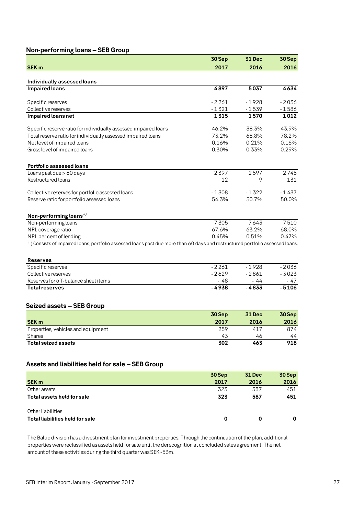## **Non-performing loans – SEB Group**

|                                                                                                                               | 30 Sep        | <b>31 Dec</b> | 30 Sep        |
|-------------------------------------------------------------------------------------------------------------------------------|---------------|---------------|---------------|
| <b>SEK m</b>                                                                                                                  | 2017          | 2016          | 2016          |
| Individually assessed loans                                                                                                   |               |               |               |
| <b>Impaired loans</b>                                                                                                         | 4897          | 5037          | 4634          |
|                                                                                                                               |               |               |               |
| Specific reserves                                                                                                             | $-2261$       | $-1928$       | $-2036$       |
| Collective reserves                                                                                                           | $-1321$       | $-1539$       | $-1586$       |
| Impaired loans net                                                                                                            | 1315          | 1570          | 1012          |
|                                                                                                                               |               |               |               |
| Specific reserve ratio for individually assessed impaired loans                                                               | 46.2%         | 38.3%         | 43.9%         |
| Total reserve ratio for individually assessed impaired loans                                                                  | 73.2%         | 68.8%         | 78.2%         |
| Net level of impaired loans                                                                                                   | 0.16%         | 0.21%         | 0.16%         |
| Gross level of impaired loans                                                                                                 | 0.30%         | 0.33%         | 0.29%         |
|                                                                                                                               |               |               |               |
| Portfolio assessed loans                                                                                                      |               |               |               |
| Loans past due > 60 days                                                                                                      | 2397          | 2597          | 2745          |
| <b>Restructured loans</b>                                                                                                     | 12            | 9             | 131           |
|                                                                                                                               |               |               |               |
| Collective reserves for portfolio assessed loans                                                                              | $-1308$       | $-1322$       | $-1437$       |
| Reserve ratio for portfolio assessed loans                                                                                    | 54.3%         | 50.7%         | 50.0%         |
|                                                                                                                               |               |               |               |
| Non-performing loans <sup>1)</sup>                                                                                            |               |               |               |
| Non-performing loans                                                                                                          | 7305          | 7643          | 7510          |
| NPL coverage ratio                                                                                                            | 67.6%         | 63.2%         | 68.0%         |
| NPL per cent of lending                                                                                                       | 0.45%         | 0.51%         | 0.47%         |
| 1) Consists of impaired loans, portfolio assessed loans past due more than 60 days and restructured portfolio assessed loans. |               |               |               |
|                                                                                                                               |               |               |               |
| <b>Reserves</b>                                                                                                               |               |               |               |
| Specific reserves                                                                                                             | $-2261$       | $-1928$       | $-2036$       |
| Collective reserves                                                                                                           | $-2629$       | $-2861$       | $-3023$       |
| Reserves for off-balance sheet items                                                                                          | $-48$         | $-44$         | - 47          |
| <b>Total reserves</b>                                                                                                         | $-4938$       | $-4833$       | $-5106$       |
|                                                                                                                               |               |               |               |
| Seized assets - SEB Group                                                                                                     |               |               |               |
|                                                                                                                               | 30Sep         | <b>31 Dec</b> | 30 Sep        |
| <b>SEK m</b>                                                                                                                  | 2017          | 2016          | 2016          |
| Properties, vehicles and equipment                                                                                            | 259           | 417           | 874           |
| Shares                                                                                                                        | 43            | 46            | 44            |
| <b>Total seized assets</b>                                                                                                    | 302           | 463           | 918           |
|                                                                                                                               |               |               |               |
|                                                                                                                               |               |               |               |
| Assets and liabilities held for sale - SEB Group                                                                              |               |               |               |
|                                                                                                                               |               |               |               |
|                                                                                                                               | 30Sep<br>2017 | <b>31 Dec</b> | 30Sep<br>2016 |
| <b>SEK m</b>                                                                                                                  |               | 2016          |               |
| Other assets<br>Total assets held for sale                                                                                    | 323<br>323    | 587<br>587    | 451<br>451    |
|                                                                                                                               |               |               |               |
|                                                                                                                               |               |               |               |
| Other liabilities<br>Total liabilities held for sale                                                                          |               |               |               |
|                                                                                                                               | 0             | 0             | 0             |

The Baltic division has a divestment plan for investment properties. Through the continuation of the plan, additional properties were reclassified as assets held for sale until the derecognition at concluded sales agreement. The net amount of these activities during the third quarter was SEK -53m.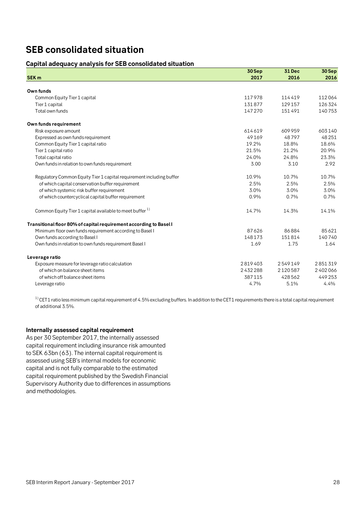## **SEB consolidated situation**

## **Capital adequacy analysis for SEB consolidated situation**

|                                                                      | 30Sep   | <b>31 Dec</b> | 30 Sep  |
|----------------------------------------------------------------------|---------|---------------|---------|
| <b>SEK m</b>                                                         | 2017    | 2016          | 2016    |
|                                                                      |         |               |         |
| Own funds                                                            |         |               |         |
| Common Equity Tier 1 capital                                         | 117978  | 114419        | 112064  |
| Tier 1 capital                                                       | 131877  | 129 157       | 126324  |
| Total own funds                                                      | 147270  | 151491        | 140753  |
| Own funds requirement                                                |         |               |         |
| Risk exposure amount                                                 | 614619  | 609959        | 603140  |
| Expressed as own funds requirement                                   | 49169   | 48797         | 48251   |
| Common Equity Tier 1 capital ratio                                   | 19.2%   | 18.8%         | 18.6%   |
| Tier 1 capital ratio                                                 | 21.5%   | 21.2%         | 20.9%   |
| Total capital ratio                                                  | 24.0%   | 24.8%         | 23.3%   |
| Own funds in relation to own funds requirement                       | 3.00    | 3.10          | 2.92    |
| Regulatory Common Equity Tier 1 capital requirement including buffer | 10.9%   | 10.7%         | 10.7%   |
| of which capital conservation buffer requirement                     | 2.5%    | 2.5%          | 2.5%    |
| of which systemic risk buffer requirement                            | 3.0%    | 3.0%          | 3.0%    |
| of which countercyclical capital buffer requirement                  | 0.9%    | 0.7%          | 0.7%    |
| Common Equity Tier 1 capital available to meet buffer <sup>1)</sup>  | 14.7%   | 14.3%         | 14.1%   |
| Transitional floor 80% of capital requirement according to Basel I   |         |               |         |
| Minimum floor own funds requirement according to Basel I             | 87626   | 86884         | 85621   |
| Own funds according to Basel I                                       | 148173  | 151814        | 140740  |
| Own funds in relation to own funds requirement Basel I               | 1.69    | 1.75          | 1.64    |
| Leverage ratio                                                       |         |               |         |
| Exposure measure for leverage ratio calculation                      | 2819403 | 2549149       | 2851319 |
| of which on balance sheet items                                      | 2432288 | 2120587       | 2402066 |
| of which off balance sheet items                                     | 387115  | 428562        | 449253  |
| Leverage ratio                                                       | 4.7%    | 5.1%          | 4.4%    |

 $1)$  CET1 ratio less minimum capital requirement of 4.5% excluding buffers. In addition to the CET1 requirements there is a total capital requirement of additional 3.5%.

## **Internally assessed capital requirement**

As per 30 September 2017, the internally assessed capital requirement including insurance risk amounted to SEK 63bn (63). The internal capital requirement is assessed using SEB's internal models for economic capital and is not fully comparable to the estimated capital requirement published by the Swedish Financial Supervisory Authority due to differences in assumptions and methodologies.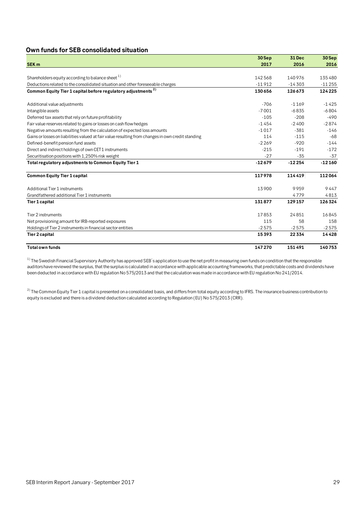## **Own funds for SEB consolidated situation**

|                                                                                                   | 30 Sep   | 31 Dec   | 30 Sep   |
|---------------------------------------------------------------------------------------------------|----------|----------|----------|
| <b>SEK m</b>                                                                                      | 2017     | 2016     | 2016     |
|                                                                                                   |          |          |          |
| Shareholders equity according to balance sheet 1)                                                 | 142568   | 140976   | 135480   |
| Deductions related to the consolidated situation and other foreseeable charges                    | $-11912$ | $-14303$ | $-11255$ |
| Common Equity Tier 1 capital before regulatory adjustments <sup>2)</sup>                          | 130656   | 126673   | 124 225  |
| Additional value adjustments                                                                      | $-706$   | $-1169$  | $-1425$  |
| Intangible assets                                                                                 | $-7001$  | $-6835$  | $-6804$  |
| Deferred tax assets that rely on future profitability                                             | $-105$   | $-208$   | $-490$   |
| Fair value reserves related to gains or losses on cash flow hedges                                | $-1454$  | $-2400$  | $-2874$  |
| Negative amounts resulting from the calculation of expected loss amounts                          | $-1017$  | $-381$   | $-146$   |
| Gains or losses on liabilities valued at fair value resulting from changes in own credit standing | 114      | $-115$   | $-68$    |
| Defined-benefit pension fund assets                                                               | $-2269$  | $-920$   | $-144$   |
| Direct and indirect holdings of own CET1 instruments                                              | $-215$   | $-191$   | $-172$   |
| Securitisation positions with 1,250% risk weight                                                  | $-27$    | $-35$    | $-37$    |
| Total regulatory adjustments to Common Equity Tier 1                                              | $-12679$ | $-12254$ | $-12160$ |
| <b>Common Equity Tier 1 capital</b>                                                               | 117978   | 114419   | 112064   |
| Additional Tier 1 instruments                                                                     | 13900    | 9959     | 9447     |
| Grandfathered additional Tier 1 instruments                                                       |          | 4779     | 4813     |
| Tier 1 capital                                                                                    | 131877   | 129157   | 126324   |
| Tier 2 instruments                                                                                | 17853    | 24851    | 16845    |
| Net provisioning amount for IRB-reported exposures                                                | 115      | 58       | 158      |
| Holdings of Tier 2 instruments in financial sector entities                                       | $-2575$  | $-2575$  | $-2575$  |
| <b>Tier 2 capital</b>                                                                             | 15393    | 22334    | 14428    |
| <b>Total own funds</b>                                                                            | 147270   | 151491   | 140753   |

 $1)$  The Swedish Financial Supervisory Authority has approved SEB's application to use the net profit in measuring own funds on condition that the responsible auditors have reviewed the surplus, that the surplus is calculated in accordance with applicable accounting frameworks, that predictable costs and dividends have been deducted in accordance with EU regulation No 575/2013 and that the calculation was made in accordance with EU regulation No 241/2014.

 $^{2)}$  The Common Equity Tier 1 capital is presented on a consolidated basis, and differs from total equity according to IFRS. The insurance business contribution to equity is excluded and there is a dividend deduction calculated according to Regulation (EU) No 575/2013 (CRR).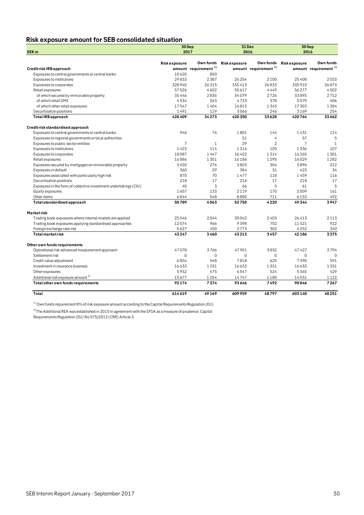## **Risk exposure amount for SEB consolidated situation**

|                                                                   |                | 30 Sep                           | 31 Dec              |                                  | 30Sep               |                                  |  |
|-------------------------------------------------------------------|----------------|----------------------------------|---------------------|----------------------------------|---------------------|----------------------------------|--|
| SEK <sub>m</sub>                                                  |                | 2017                             | 2016                |                                  | 2016                |                                  |  |
|                                                                   |                |                                  |                     |                                  |                     |                                  |  |
|                                                                   | Riskexposure   | Own funds                        | <b>Riskexposure</b> | Own funds                        | <b>Riskexposure</b> | Own funds                        |  |
| Credit risk IRB approach                                          |                | amount requirement <sup>1)</sup> |                     | amount requirement <sup>1)</sup> |                     | amount requirement <sup>1)</sup> |  |
| Exposures to central governments or central banks                 | 10620<br>29833 | 850<br>2387                      |                     |                                  |                     |                                  |  |
| Exposures to institutions                                         | 328940         |                                  | 26 254<br>335413    | 2100<br>26833                    | 25408<br>335910     | 2033<br>26873                    |  |
| Exposures to corporates                                           |                | 26315<br>4602                    |                     | 4449                             | 56277               | 4502                             |  |
| Retail exposures                                                  | 57526          |                                  | 55617               |                                  |                     |                                  |  |
| of which secured by immovable property                            | 35446          | 2836                             | 34079               | 2726                             | 33895               | 2712                             |  |
| of which retail SME                                               | 4534           | 363                              | 4723                | 378                              | 5079                | 406                              |  |
| of which other retail exposures                                   | 17547          | 1404                             | 16815               | 1345                             | 17303               | 1384                             |  |
| Securitisation positions                                          | 1491           | 119                              | 3066                | 246                              | 3169<br>420764      | 254                              |  |
| <b>Total IRB approach</b>                                         | 428409         | 34273                            | 420350              | 33628                            |                     | 33662                            |  |
| Credit risk standardised approach                                 |                |                                  |                     |                                  |                     |                                  |  |
| Exposures to central governments or central banks                 | 946            | 76                               | 1801                | 144                              | 1431                | 114                              |  |
| Exposures to regional governments or local authorities            |                |                                  | 51                  | $\overline{4}$                   | 57                  | 5                                |  |
| Exposures to public sector entities                               | $\overline{7}$ | $\mathbf{1}$                     | 29                  | $\overline{2}$                   | $\overline{7}$      | $\mathbf{1}$                     |  |
| Exposures to institutions                                         | 1423           | 114                              | 1316                | 105                              | 1336                | 107                              |  |
| Exposures to corporates                                           | 18087          | 1447                             | 16422               | 1314                             | 16265               | 1301                             |  |
| Retail exposures                                                  | 16886          | 1351                             | 16186               | 1295                             | 16029               | 1282                             |  |
| Exposures secured by mortgages on immovable property              | 3450           | 276                              | 3803                | 304                              | 3896                | 312                              |  |
| Exposures in default                                              | 360            | 29                               | 384                 | 31                               | 423                 | 34                               |  |
| Exposures associated with particularly high risk                  | 870            | 70                               | 1477                | 118                              | 1459                | 116                              |  |
| Securitisation positions                                          | 218            | 17                               | 216                 | 17                               | 218                 | 17                               |  |
| Exposures in the form of collective investment undertakings (CIU) | 40             | 3                                | 66                  | 5                                | 61                  | 5                                |  |
| Equity exposures                                                  | 1657           | 133                              | 2119                | 170                              | 2009                | 161                              |  |
| Other items                                                       | 6844           | 548                              | 8880                | 711                              | 6153                | 492                              |  |
| Total standardised approach                                       | 50789          | 4063                             | 52750               | 4220                             | 49344               | 3947                             |  |
| Marketrisk                                                        |                |                                  |                     |                                  |                     |                                  |  |
| Trading book exposures where internal models are applied          | 25546          | 2044                             | 30042               | 2403                             | 26413               | 2113                             |  |
| Trading book exposures applying standardised approaches           | 12074          | 966                              | 9398                | 752                              | 11521               | 922                              |  |
| Foreign exchange rate risk                                        | 5627           | 450                              | 3773                | 302                              | 4252                | 340                              |  |
| <b>Total market risk</b>                                          | 43247          | 3460                             | 43213               | 3457                             | 42186               | 3375                             |  |
| Other own funds requirements                                      |                |                                  |                     |                                  |                     |                                  |  |
| Operational risk advanced measurement approach                    | 47078          | 3766                             | 47901               | 3832                             | 47427               | 3794                             |  |
| Settlement risk                                                   | $\Omega$       | $\Omega$                         | $\Omega$            | $\Omega$                         | $\Omega$            | $\Omega$                         |  |
|                                                                   | 6854           | 548                              | 7818                | 625                              | 7390                | 591                              |  |
| Credit value adjustment                                           |                |                                  |                     |                                  |                     |                                  |  |
| Investment in insurance business                                  | 16633<br>5932  | 1331<br>475                      | 16633<br>6547       | 1331<br>524                      | 16633<br>5365       | 1331<br>429                      |  |
| Other exposures                                                   |                |                                  |                     |                                  |                     |                                  |  |
| Additional risk exposure amount <sup>2)</sup>                     | 15677          | 1254                             | 14747               | 1180                             | 14031               | 1122                             |  |
| Total other own funds requirements                                | 92174          | 7374                             | 93646               | 7492                             | 90846               | 7267                             |  |
| Total                                                             | 614619         | 49169                            | 609959              | 48797                            | 603140              | 48251                            |  |

 $1)$  Own funds requirement 8% of risk exposure amount according to the Capital Requirements Regulation (EU).

 $^{2)}$ The Additional REA was established in 2015 in agreement with the SFSA as a measure of prudence. Capital Requirements Regulation (EU) No 575/2013 (CRR) Article 3.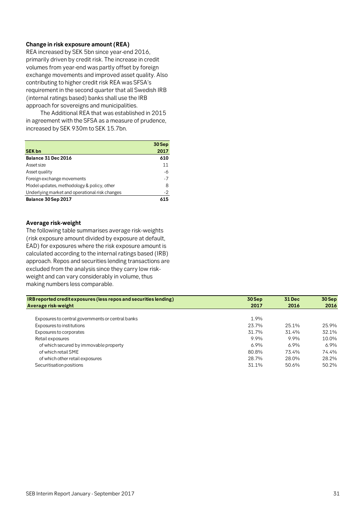## **Change in risk exposure amount (REA)**

REA increased by SEK 5bn since year-end 2016, primarily driven by credit risk. The increase in credit volumes from year-end was partly offset by foreign exchange movements and improved asset quality. Also contributing to higher credit risk REA was SFSA's requirement in the second quarter that all Swedish IRB (internal ratings based) banks shall use the IRB approach for sovereigns and municipalities.

 The Additional REA that was established in 2015 in agreement with the SFSA as a measure of prudence, increased by SEK 930m to SEK 15.7bn.

|                                                | 30 Sep |
|------------------------------------------------|--------|
| <b>SEK bn</b>                                  | 2017   |
| Balance 31 Dec 2016                            | 610    |
| Asset size                                     | 11     |
| Asset quality                                  | -6     |
| Foreign exchange movements                     | $-7$   |
| Model updates, methodology & policy, other     | 8      |
| Underlying market and operational risk changes | $-2$   |
| Balance 30 Sep 2017                            | 615    |

### **Average risk-weight**

The following table summarises average risk-weights (risk exposure amount divided by exposure at default, EAD) for exposures where the risk exposure amount is calculated according to the internal ratings based (IRB) approach. Repos and securities lending transactions are excluded from the analysis since they carry low riskweight and can vary considerably in volume, thus making numbers less comparable.

| IRB reported credit exposures (less repos and securities lending) | $30$ Sep | <b>31 Dec</b> | 30 Sep |
|-------------------------------------------------------------------|----------|---------------|--------|
| Average risk-weight                                               | 2017     | 2016          | 2016   |
|                                                                   |          |               |        |
| Exposures to central governments or central banks                 | 1.9%     |               |        |
| Exposures to institutions                                         | 23.7%    | 25.1%         | 25.9%  |
| Exposures to corporates                                           | 31.7%    | 31.4%         | 32.1%  |
| Retail exposures                                                  | 9.9%     | 9.9%          | 10.0%  |
| of which secured by immovable property                            | 6.9%     | 6.9%          | 6.9%   |
| of which retail SME                                               | 80.8%    | 73.4%         | 74.4%  |
| of which other retail exposures                                   | 28.7%    | 28.0%         | 28.2%  |
| Securitisation positions                                          | 31.1%    | 50.6%         | 50.2%  |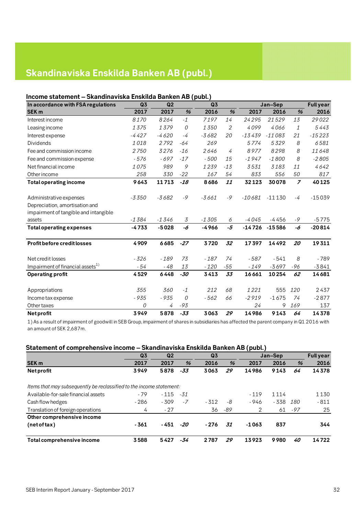## **Skandinaviska Enskilda Banken AB (publ.)**

## **Income statement – Skandinaviska Enskilda Banken AB (publ.)**

| In accordance with FSA regulations           | Q <sub>3</sub> | Q2      | ``    | Q <sub>3</sub> |       |          | Jan-Sep  |                | <b>Full year</b> |
|----------------------------------------------|----------------|---------|-------|----------------|-------|----------|----------|----------------|------------------|
| <b>SEK m</b>                                 | 2017           | 2017    | %     | 2016           | %     | 2017     | 2016     | %              | 2016             |
| Interest income                              | 8170           | 8264    | $-1$  | 7197           | 14    | 24295    | 21529    | 13             | 29022            |
| Leasing income                               | 1375           | 1379    | 0     | 1350           | 2     | 4099     | 4066     | 1              | 5443             |
| Interest expense                             | $-4427$        | $-4620$ | $-4$  | $-3682$        | 20    | $-13439$ | $-11083$ | 21             | $-15223$         |
| <b>Dividends</b>                             | 1018           | 2792    | $-64$ | 269            |       | 5774     | 5329     | 8              | 6581             |
| Fee and commission income                    | 2750           | 3276    | $-16$ | 2646           | 4     | 8977     | 8298     | 8              | 11648            |
| Fee and commission expense                   | $-576$         | $-697$  | $-17$ | $-500$         | 15    | $-1947$  | $-1800$  | 8              | $-2805$          |
| Net financial income                         | 1075           | 989     | 9     | 1239           | $-13$ | 3531     | 3183     | 11             | 4642             |
| Other income                                 | 258            | 330     | $-22$ | 167            | 54    | 833      | 556      | 50             | 817              |
| <b>Total operating income</b>                | 9643           | 11713   | $-18$ | 8686           | 11    | 32123    | 30078    | $\overline{z}$ | 40125            |
| Administrative expenses                      | $-3350$        | $-3682$ | $-9$  | $-3661$        | $-9$  | $-10681$ | $-11130$ | $-4$           | $-15039$         |
| Depreciation, amortisation and               |                |         |       |                |       |          |          |                |                  |
| impairment of tangible and intangible        |                |         |       |                |       |          |          |                |                  |
| assets                                       | $-1384$        | $-1346$ | 3     | $-1305$        | 6     | $-4045$  | $-4456$  | $-9$           | $-5775$          |
| <b>Total operating expenses</b>              | $-4733$        | $-5028$ | -6    | $-4966$        | -5    | $-14726$ | $-15586$ | -6             | $-20814$         |
| <b>Profit before credit losses</b>           | 4909           | 6685    | $-27$ | 3720           | 32    | 17397    | 14492    | 20             | 19311            |
| Net credit losses                            | $-326$         | $-189$  | 73    | $-187$         | 74    | $-587$   | $-541$   | 8              | $-789$           |
| Impairment of financial assets <sup>1)</sup> | $-54$          | - 48    | 13    | $-120$         | $-55$ | $-149$   | $-3697$  | -96            | $-3841$          |
| <b>Operating profit</b>                      | 4529           | 6448    | $-30$ | 3413           | 33    | 16661    | 10254    | 62             | 14681            |
| Appropriations                               | 355            | 360     | $-1$  | 212            | 68    | 1221     | 555      | 120            | 2437             |
| Income tax expense                           | - 935          | - 935   | 0     | $-562$         | 66    | $-2919$  | $-1675$  | 74             | $-2877$          |
| Other taxes                                  | 0              | 4       | $-93$ |                |       | 24       | 9        | 169            | 137              |
| Netprofit                                    | 3949           | 5878    | $-33$ | 3063           | 29    | 14986    | 9143     | 64             | 14378            |

1) As a result of impairment of goodwill in SEB Group, impairment of shares in subsidiaries has affected the parent company in Q1 2016 with an amount of SEK 2,687m.

## **Statement of comprehensive income – Skandinaviska Enskilda Banken AB (publ.)**

|                                                                      | Q <sub>3</sub> | Q <sub>2</sub> |       | Q <sub>3</sub> |     |         | Jan-Sep |     | <b>Full year</b> |
|----------------------------------------------------------------------|----------------|----------------|-------|----------------|-----|---------|---------|-----|------------------|
| <b>SEK m</b>                                                         | 2017           | 2017           | %     | 2016           | %   | 2017    | 2016    | %   | 2016             |
| <b>Netprofit</b>                                                     | 3949           | 5878           | $-33$ | 3063           | 29  | 14986   | 9143    | 64  | 14378            |
| ltems that may subsequently be reclassified to the income statement: |                |                |       |                |     |         |         |     |                  |
| Available-for-sale financial assets                                  | $-79$          | $-115 - 31$    |       |                |     | $-119$  | 1 1 1 4 |     | 1 1 3 0          |
| Cash flow hedges                                                     | $-286$         | $-309$         | -7    | $-312$         | -8  | - 946   | - 338   | 180 | $-811$           |
| Translation of foreign operations                                    | 4              | $-27$          |       | 36             | -89 | 2       | 61      | -97 | 25               |
| Other comprehensive income                                           |                |                |       |                |     |         |         |     |                  |
| (netoftax)                                                           | $-361$         | - 451          | -20   | $-276$         | 31  | $-1063$ | 837     |     | 344              |
| Total comprehensive income                                           | 3588           | 5427           | -34   | 2787           | 29  | 13923   | 9980    | 40  | 14722            |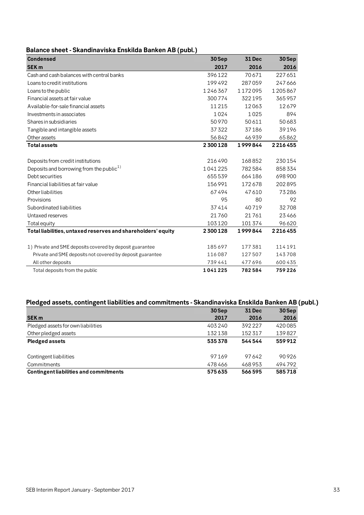|  | Balance sheet - Skandinaviska Enskilda Banken AB (publ.) |  |  |  |
|--|----------------------------------------------------------|--|--|--|
|--|----------------------------------------------------------|--|--|--|

| <b>Condensed</b>                                             | 30 Sep  | <b>31 Dec</b> | $30$ Sep |
|--------------------------------------------------------------|---------|---------------|----------|
| <b>SEK m</b>                                                 | 2017    | 2016          | 2016     |
| Cash and cash balances with central banks                    | 396122  | 70671         | 227651   |
| Loans to credit institutions                                 | 199492  | 287059        | 247666   |
| Loans to the public                                          | 1246367 | 1172095       | 1205867  |
| Financial assets at fair value                               | 300774  | 322195        | 365957   |
| Available-for-sale financial assets                          | 11 2 15 | 12063         | 12679    |
| Investments in associates                                    | 1024    | 1025          | 894      |
| Shares in subsidiaries                                       | 50970   | 50611         | 50683    |
| Tangible and intangible assets                               | 37322   | 37186         | 39196    |
| Other assets                                                 | 56842   | 46939         | 65862    |
| <b>Total assets</b>                                          | 2300128 | 1999844       | 2216455  |
|                                                              |         |               |          |
| Deposits from credit institutions                            | 216490  | 168852        | 230154   |
| Deposits and borrowing from the public <sup>1)</sup>         | 1041225 | 782584        | 858334   |
| Debt securities                                              | 655539  | 664186        | 698900   |
| Financial liabilities at fair value                          | 156991  | 172678        | 202895   |
| Other liabilities                                            | 67494   | 47610         | 73286    |
| Provisions                                                   | 95      | 80            | 92       |
| Subordinated liabilities                                     | 37414   | 40719         | 32708    |
| Untaxed reserves                                             | 21760   | 21761         | 23466    |
| Total equity                                                 | 103120  | 101374        | 96620    |
| Total liabilities, untaxed reserves and shareholders' equity | 2300128 | 1999844       | 2216455  |
|                                                              |         |               |          |
| 1) Private and SME deposits covered by deposit guarantee     | 185697  | 177381        | 114191   |
| Private and SME deposits not covered by deposit guarantee    | 116087  | 127507        | 143708   |
| All other deposits                                           | 739441  | 477696        | 600 435  |
| Total deposits from the public                               | 1041225 | 782584        | 759226   |

## **Pledged assets, contingent liabilities and commitments - Skandinaviska Enskilda Banken AB (publ.)**

|                                               | 30 Sep | <b>31 Dec</b> | 30 Sep |
|-----------------------------------------------|--------|---------------|--------|
| <b>SEK m</b>                                  | 2017   | 2016          | 2016   |
| Pledged assets for own liabilities            | 403240 | 392227        | 420085 |
| Other pledged assets                          | 132138 | 152317        | 139827 |
| <b>Pledged assets</b>                         | 535378 | 544544        | 559912 |
|                                               |        |               |        |
| Contingent liabilities                        | 97169  | 97642         | 90926  |
| Commitments                                   | 478466 | 468953        | 494792 |
| <b>Contingent liabilities and commitments</b> | 575635 | 566595        | 585718 |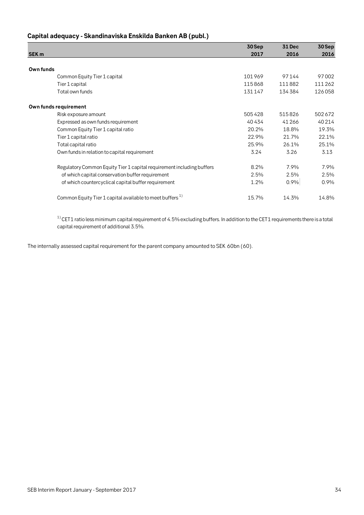|  | Capital adequacy - Skandinaviska Enskilda Banken AB (publ.) |  |
|--|-------------------------------------------------------------|--|
|--|-------------------------------------------------------------|--|

|                                                                       | 30 Sep | 31 Dec | 30 Sep  |
|-----------------------------------------------------------------------|--------|--------|---------|
| <b>SEK m</b>                                                          | 2017   | 2016   | 2016    |
|                                                                       |        |        |         |
| Own funds                                                             |        |        |         |
| Common Equity Tier 1 capital                                          | 101969 | 97144  | 97002   |
| Tier 1 capital                                                        | 115868 | 111882 | 111 262 |
| Total own funds                                                       | 131147 | 134384 | 126058  |
| Own funds requirement                                                 |        |        |         |
| Risk exposure amount                                                  | 505428 | 515826 | 502672  |
| Expressed as own funds requirement                                    | 40434  | 41266  | 40 214  |
| Common Equity Tier 1 capital ratio                                    | 20.2%  | 18.8%  | 19.3%   |
| Tier 1 capital ratio                                                  | 22.9%  | 21.7%  | 22.1%   |
| Total capital ratio                                                   | 25.9%  | 26.1%  | 25.1%   |
| Own funds in relation to capital requirement                          | 3.24   | 3.26   | 3.13    |
| Regulatory Common Equity Tier 1 capital requirement including buffers | 8.2%   | 7.9%   | 7.9%    |
| of which capital conservation buffer requirement                      | 2.5%   | 2.5%   | 2.5%    |
| of which countercyclical capital buffer requirement                   | 1.2%   | 0.9%   | 0.9%    |
| Common Equity Tier 1 capital available to meet buffers <sup>1)</sup>  | 15.7%  | 14.3%  | 14.8%   |

 $^{\rm 1)}$ CET1 ratio less minimum capital requirement of 4.5% excluding buffers. In addition to the CET1 requirements there is a total capital requirement of additional 3.5%.

The internally assessed capital requirement for the parent company amounted to SEK 60bn (60).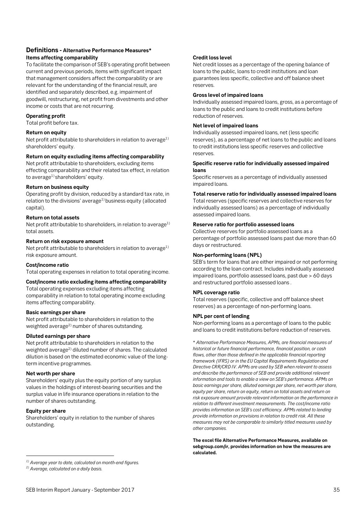## **Definitions - Alternative Performance Measures\* Items affecting comparability**

To facilitate the comparison of SEB's operating profit between current and previous periods, items with significant impact that management considers affect the comparability or are relevant for the understanding of the financial result, are identified and separately described, e.g. impairment of goodwill, restructuring, net profit from divestments and other income or costs that are not recurring.

### **Operating profit**

Total profit before tax.

## **Return on equity**

Net profit attributable to shareholders in relation to average<sup>1)</sup> shareholders' equity.

### **Return on equity excluding items affecting comparability**

Net profit attributable to shareholders, excluding items effecting comparability and their related tax effect, in relation to average<sup>1)</sup> shareholders' equity.

### **Return on business equity**

Operating profit by division, reduced by a standard tax rate, in relation to the divisions' average<sup>1)</sup> business equity (allocated capital).

## **Return on total assets**

Net profit attributable to shareholders, in relation to average<sup>1)</sup> total assets.

### **Return on risk exposure amount**

Net profit attributable to shareholders in relation to average<sup>1)</sup> risk exposure amount.

#### **Cost/income ratio**

Total operating expenses in relation to total operating income.

#### **Cost/income ratio excluding items affecting comparability**

Total operating expenses excluding items affecting comparability in relation to total operating income excluding items affecting comparability.

### **Basic earnings per share**

Net profit attributable to shareholders in relation to the weighted average<sup>2)</sup> number of shares outstanding.

#### **Diluted earnings per share**

Net profit attributable to shareholders in relation to the weighted average<sup>2)</sup> diluted number of shares. The calculated dilution is based on the estimated economic value of the longterm incentive programmes.

#### **Net worth per share**

Shareholders' equity plus the equity portion of any surplus values in the holdings of interest-bearing securities and the surplus value in life insurance operations in relation to the number of shares outstanding.

## **Equity per share**

 $\overline{a}$ 

Shareholders' equity in relation to the number of shares outstanding.

## *1) Average year to date, calculated on month-end figures.*

*2) Average, calculated on a daily basis.*

## **Credit loss level**

Net credit losses as a percentage of the opening balance of loans to the public, loans to credit institutions and loan guarantees less specific, collective and off balance sheet reserves.

#### **Gross level of impaired loans**

Individually assessed impaired loans, gross, as a percentage of loans to the public and loans to credit institutions before reduction of reserves.

## **Net level of impaired loans**

Individually assessed impaired loans, net (less specific reserves), as a percentage of net loans to the public and loans to credit institutions less specific reserves and collective reserves.

#### **Specific reserve ratio for individually assessed impaired loans**

Specific reserves as a percentage of individually assessed impaired loans.

## **Total reserve ratio for individually assessed impaired loans**

Total reserves (specific reserves and collective reserves for individually assessed loans) as a percentage of individually assessed impaired loans.

## **Reserve ratio for portfolio assessed loans**

Collective reserves for portfolio assessed loans as a percentage of portfolio assessed loans past due more than 60 days or restructured.

#### **Non-performing loans (NPL)**

SEB's term for loans that are either impaired or not performing according to the loan contract. Includes individually assessed impaired loans, portfolio assessed loans, past due > 60 days and restructured portfolio assessed loans .

#### **NPL coverage ratio**

Total reserves (specific, collective and off balance sheet reserves) as a percentage of non-performing loans.

#### **NPL per cent of lending**

Non-performing loans as a percentage of loans to the public and loans to credit institutions before reduction of reserves.

\* *Alternative Performance Measures, APMs, are financial measures of historical or future financial performance, financial position, or cash flows, other than those defined in the applicable financial reporting framework (IFRS) or in the EU Capital Requirements Regulation and Directive CRR/CRD IV. APMs are used by SEB when relevant to assess and describe the performance of SEB and provide additional relevant information and tools to enable a view on SEB's performance. APMs on basic earnings per share, diluted earnings per share, net worth per share, equity per share, return on equity, return on total assets and return on risk exposure amount provide relevant information on the performance in relation to different investment measurements. The cost/income ratio provides information on SEB's cost efficiency. APMs related to lending provide information on provisions in relation to credit risk. All these measures may not be comparable to similarly titled measures used by other companies.* 

**The excel file Alternative Performance Measures, available on sebgroup.com/ir, provides information on how the measures are calculated.**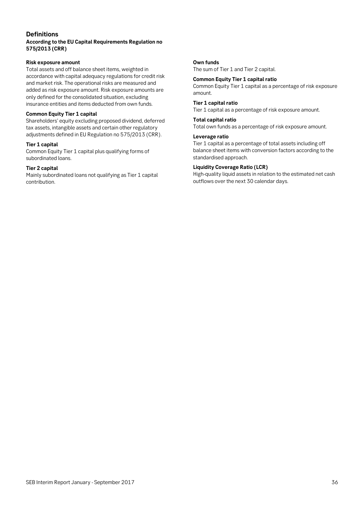## **Definitions**

## **According to the EU Capital Requirements Regulation no 575/2013 (CRR)**

## **Risk exposure amount**

and market risk. The operational risks are measured and Total assets and off balance sheet items, weighted in accordance with capital adequacy regulations for credit risk added as risk exposure amount. Risk exposure amounts are only defined for the consolidated situation, excluding insurance entities and items deducted from own funds.

## **Common Equity Tier 1 capital**

Shareholders' equity excluding proposed dividend, deferred tax assets, intangible assets and certain other regulatory adjustments defined in EU Regulation no 575/2013 (CRR).

## **Tier 1 capital**

Common Equity Tier 1 capital plus qualifying forms of subordinated loans.

### **Tier 2 capital**

Mainly subordinated loans not qualifying as Tier 1 capital contribution.

## **Own funds**

The sum of Tier 1 and Tier 2 capital.

#### **Common Equity Tier 1 capital ratio**

Common Equity Tier 1 capital as a percentage of risk exposure amount.

## **Tier 1 capital ratio**

Tier 1 capital as a percentage of risk exposure amount.

#### **Total capital ratio**

Total own funds as a percentage of risk exposure amount.

## **Leverage ratio**

Tier 1 capital as a percentage of total assets including off balance sheet items with conversion factors according to the standardised approach.

## **Liquidity Coverage Ratio (LCR)**

High-quality liquid assets in relation to the estimated net cash outflows over the next 30 calendar days.